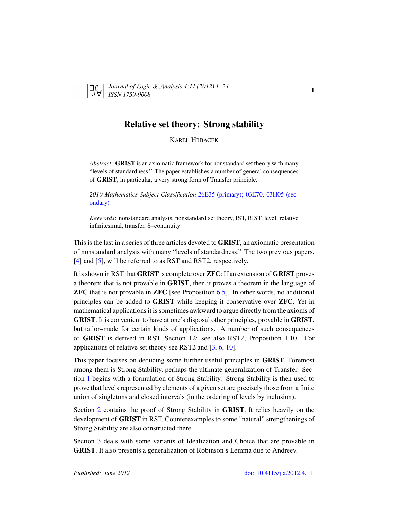

*Journal of* L*ogic &* A*nalysis 4:11 (2012) 1–24 ISSN 1759-9008* 1

# Relative set theory: Strong stability

KAREL HRBACEK

*Abstract*: GRIST is an axiomatic framework for nonstandard set theory with many "levels of standardness." The paper establishes a number of general consequences of GRIST, in particular, a very strong form of Transfer principle.

*2010 Mathematics Subject Classification* [26E35 \(primary\); 03E70, 03H05 \(sec](http://www.ams.org/mathscinet/search/mscdoc.html?code=26E35,(03E70, 03H05))[ondary\)](http://www.ams.org/mathscinet/search/mscdoc.html?code=26E35,(03E70, 03H05))

*Keywords*: nonstandard analysis, nonstandard set theory, IST, RIST, level, relative infinitesimal, transfer, S–continuity

This is the last in a series of three articles devoted to GRIST, an axiomatic presentation of nonstandard analysis with many "levels of standardness." The two previous papers, [\[4\]](#page-23-0) and [\[5\]](#page-23-1), will be referred to as RST and RST2, respectively.

It is shown in RST that GRIST is complete over ZFC: If an extension of GRIST proves a theorem that is not provable in GRIST, then it proves a theorem in the language of ZFC that is not provable in ZFC [see Proposition [6.5\]](#page-22-0). In other words, no additional principles can be added to GRIST while keeping it conservative over ZFC. Yet in mathematical applications it is sometimes awkward to argue directly from the axioms of GRIST. It is convenient to have at one's disposal other principles, provable in GRIST, but tailor–made for certain kinds of applications. A number of such consequences of GRIST is derived in RST, Section 12; see also RST2, Proposition 1.10. For applications of relative set theory see RST2 and [\[3,](#page-23-2) [6,](#page-23-3) [10\]](#page-23-4).

This paper focuses on deducing some further useful principles in GRIST. Foremost among them is Strong Stability, perhaps the ultimate generalization of Transfer. Section [1](#page-2-0) begins with a formulation of Strong Stability. Strong Stability is then used to prove that levels represented by elements of a given set are precisely those from a finite union of singletons and closed intervals (in the ordering of levels by inclusion).

Section [2](#page-5-0) contains the proof of Strong Stability in GRIST. It relies heavily on the development of GRIST in RST. Counterexamples to some "natural" strengthenings of Strong Stability are also constructed there.

Section [3](#page-12-0) deals with some variants of Idealization and Choice that are provable in GRIST. It also presents a generalization of Robinson's Lemma due to Andreev.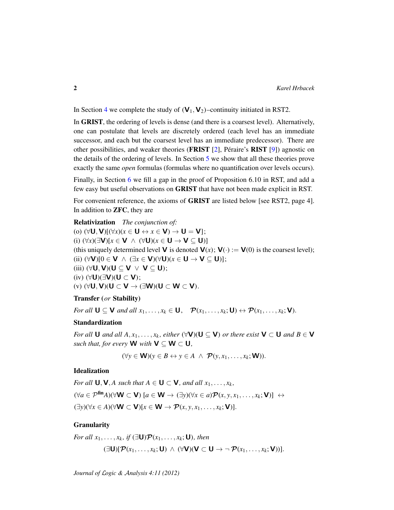In Section [4](#page-16-0) we complete the study of  $(V_1, V_2)$ –continuity initiated in RST2.

In GRIST, the ordering of levels is dense (and there is a coarsest level). Alternatively, one can postulate that levels are discretely ordered (each level has an immediate successor, and each but the coarsest level has an immediate predecessor). There are other possibilities, and weaker theories (**FRIST** [\[2\]](#page-23-5), Péraire's **RIST** [\[9\]](#page-23-6)) agnostic on the details of the ordering of levels. In Section [5](#page-18-0) we show that all these theories prove exactly the same *open* formulas (formulas where no quantification over levels occurs).

Finally, in Section [6](#page-20-0) we fill a gap in the proof of Proposition 6.10 in RST, and add a few easy but useful observations on GRIST that have not been made explicit in RST.

For convenient reference, the axioms of GRIST are listed below [see RST2, page 4]. In addition to ZFC, they are

Relativization *The conjunction of:* (o)  $(\forall \mathbf{U}, \mathbf{V})[(\forall x)(x \in \mathbf{U} \leftrightarrow x \in \mathbf{V}) \rightarrow \mathbf{U} = \mathbf{V}];$ (i) (∀*x*)(∃V)[*x* ∈ V ∧ (∀U)(*x* ∈ U → V ⊆ U)] (this uniquely determined level **V** is denoted **V**(*x*); **V**(·) := **V**(0) is the coarsest level); (ii) (∀V)[0 ∈ V ∧ (∃*x* ∈ V)(∀U)(*x* ∈ U → V ⊆ U)]; (iii)  $(\forall U, V)(U \subseteq V \lor V \subseteq U);$ (iv)  $(\forall U)(\exists V)(U \subset V);$ (v)  $(\forall U, V)(U \subset V \rightarrow (\exists W)(U \subset W \subset V).$ 

#### Transfer (*or* Stability)

*For all*  $\mathbf{U} \subseteq \mathbf{V}$  *and all*  $x_1, \ldots, x_k \in \mathbf{U}$ ,  $\mathcal{P}(x_1, \ldots, x_k; \mathbf{U}) \leftrightarrow \mathcal{P}(x_1, \ldots, x_k; \mathbf{V})$ .

### Standardization

*For all* **U** *and all*  $A, x_1, \ldots, x_k$ , *either* ( $\forall$ **V**)(**U**  $\subseteq$ **V**) *or there exist* **V**  $\subset$  **U** *and*  $B \in$  **V** *such that, for every* **W** *with*  $V \subseteq W \subset U$ *,* 

$$
(\forall y \in \mathbf{W})(y \in B \leftrightarrow y \in A \ \land \ \mathcal{P}(y, x_1, \dots, x_k; \mathbf{W})).
$$

### Idealization

*For all*  $\mathbf{U}, \mathbf{V}, A$  *such that*  $A \in \mathbf{U} \subset \mathbf{V}$ *, and all*  $x_1, \ldots, x_k$ *,*  $(\forall a \in \mathcal{P}^{\mathbf{fin}}A)(\forall \mathbf{W} \subset \mathbf{V})$  [ $a \in \mathbf{W} \rightarrow (\exists y)(\forall x \in a)\mathcal{P}(x, y, x_1, \dots, x_k; \mathbf{V})$ ] ↔  $(\exists y)(\forall x \in A)(\forall \mathbf{W} \subset \mathbf{V})[x \in \mathbf{W} \rightarrow \mathcal{P}(x, y, x_1, \dots, x_k; \mathbf{V})].$ 

### Granularity

For all 
$$
x_1, ..., x_k
$$
, if  $(\exists \mathbf{U}) \mathcal{P}(x_1, ..., x_k; \mathbf{U})$ , then  
\n $(\exists \mathbf{U}) [\mathcal{P}(x_1, ..., x_k; \mathbf{U}) \wedge (\forall \mathbf{V})(\mathbf{V} \subset \mathbf{U} \rightarrow \neg \mathcal{P}(x_1, ..., x_k; \mathbf{V}))].$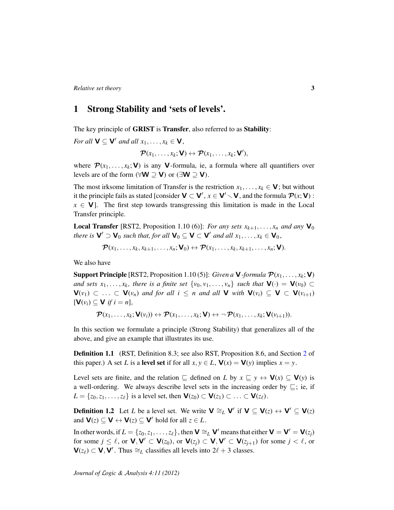# <span id="page-2-0"></span>1 Strong Stability and 'sets of levels'.

The key principle of GRIST is Transfer, also referred to as Stability:

*For all*  $V \subseteq V'$  *and all*  $x_1, \ldots, x_k \in V$ ,  $\mathcal{P}(x_1,\ldots,x_k;\mathbf{V})\leftrightarrow \mathcal{P}(x_1,\ldots,x_k;\mathbf{V}'),$ 

where  $\mathcal{P}(x_1, \ldots, x_k; \mathbf{V})$  is any **V**-formula, ie, a formula where all quantifiers over levels are of the form ( $\forall$ **W** ⊃ **V**) or ( $\exists$ **W** ⊃ **V**).

The most irksome limitation of Transfer is the restriction  $x_1, \ldots, x_k \in V$ ; but without it the principle fails as stated [consider  $V \subset V'$ ,  $x \in V' \setminus V$ , and the formula  $\mathcal{P}(x; V)$  :  $x \in V$ . The first step towards transgressing this limitation is made in the Local Transfer principle.

**Local Transfer** [RST2, Proposition 1.10 (6)]: *For any sets*  $x_{k+1}, \ldots, x_n$  *and any*  $\mathbf{V}_0$ *there is*  $V' \supset V_0$  *such that, for all*  $V_0 \subseteq V \subset V'$  *and all*  $x_1, \ldots, x_k \in V_0$ ,

$$
\boldsymbol{\mathcal{P}}(x_1,\ldots,x_k,x_{k+1},\ldots,x_n;\mathbf{V}_0)\leftrightarrow \boldsymbol{\mathcal{P}}(x_1,\ldots,x_k,x_{k+1},\ldots,x_n;\mathbf{V}).
$$

We also have

**Support Principle** [RST2, Proposition 1.10 (5)]: *Given a* **V**-formula  $\mathcal{P}(x_1, \ldots, x_k; \mathbf{V})$ *and sets*  $x_1, \ldots, x_k$ , there is a finite set  $\{v_0, v_1, \ldots, v_n\}$  such that  $\mathbf{V}(\cdot) = \mathbf{V}(v_0) \subset$ *and for all**i* **≤** *n**and all* **<b>V** *with*  $$  $[\mathbf{V}(v_i) \subset \mathbf{V}$  *if*  $i = n]$ ,

$$
\boldsymbol{\mathcal{P}}(x_1,\ldots,x_k;\mathbf{V}(v_i))\leftrightarrow\boldsymbol{\mathcal{P}}(x_1,\ldots,x_k;\mathbf{V})\leftrightarrow\neg\boldsymbol{\mathcal{P}}(x_1,\ldots,x_k;\mathbf{V}(v_{i+1})).
$$

In this section we formulate a principle (Strong Stability) that generalizes all of the above, and give an example that illustrates its use.

**Definition 1.1** (RST, Definition 8.3; see also RST, Proposition 8.6, and Section [2](#page-5-0) of this paper.) A set *L* is a **level set** if for all  $x, y \in L$ ,  $\mathbf{V}(x) = \mathbf{V}(y)$  implies  $x = y$ .

Level sets are finite, and the relation  $\subseteq$  defined on *L* by  $x \subseteq y \leftrightarrow V(x) \subseteq V(y)$  is a well-ordering. We always describe level sets in the increasing order by  $\sqsubseteq$ ; ie, if  $L = \{z_0, z_1, \ldots, z_\ell\}$  is a level set, then  $\mathbf{V}(z_0) \subset \mathbf{V}(z_1) \subset \ldots \subset \mathbf{V}(z_\ell)$ .

**Definition 1.2** Let *L* be a level set. We write  $V \cong_L V'$  if  $V \subseteq V(z) \leftrightarrow V' \subseteq V(z)$ and  $\mathbf{V}(z) \subseteq \mathbf{V} \leftrightarrow \mathbf{V}(z) \subseteq \mathbf{V}'$  hold for all  $z \in L$ .

In other words, if  $L = \{z_0, z_1, \ldots, z_\ell\}$ , then  $\mathbf{V} \cong_L \mathbf{V}'$  means that either  $\mathbf{V} = \mathbf{V}' = \mathbf{V}(z_j)$ for some  $j \leq \ell$ , or  $\mathbf{V}, \mathbf{V}' \subset \mathbf{V}(z_0)$ , or  $\mathbf{V}(z_j) \subset \mathbf{V}, \mathbf{V}' \subset \mathbf{V}(z_{j+1})$  for some  $j < \ell$ , or  $\mathbf{V}(z_\ell) \subset \mathbf{V}, \mathbf{V}'$ . Thus  $\cong_L$  classifies all levels into  $2\ell + 3$  classes.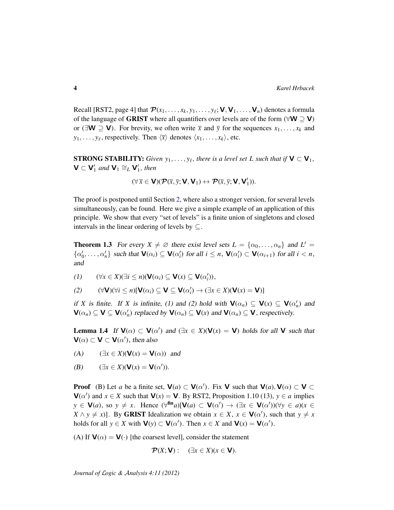Recall [RST2, page 4] that  $\mathcal{P}(x_1,\ldots,x_k,y_1,\ldots,y_\ell; \mathsf{V},\mathsf{V}_1,\ldots,\mathsf{V}_n)$  denotes a formula of the language of GRIST where all quantifiers over levels are of the form ( $\forall W \supseteq V$ ) or ( $\exists W \supseteq V$ ). For brevity, we often write  $\bar{x}$  and  $\bar{y}$  for the sequences  $x_1, \ldots, x_k$  and  $y_1, \ldots, y_\ell$ , respectively. Then  $\langle \bar{x} \rangle$  denotes  $\langle x_1, \ldots, x_k \rangle$ , etc.

**STRONG STABILITY:** Given  $y_1, \ldots, y_\ell$ , there is a level set L such that if  $V \subset V_1$ ,  $\mathbf{V} \subset \mathbf{V}'_1$  and  $\mathbf{V}_1 \cong_L \mathbf{V}'_1$ , then

$$
(\forall\, \overline{x}\in \textbf{V})(\textbf{\textit{P}}(\overline{x},\overline{y};\textbf{V},\textbf{V}_1)\leftrightarrow \textbf{\textit{P}}(\overline{x},\overline{y};\textbf{V},\textbf{V}_1')).
$$

The proof is postponed until Section [2,](#page-5-0) where also a stronger version, for several levels simultaneously, can be found. Here we give a simple example of an application of this principle. We show that every "set of levels" is a finite union of singletons and closed intervals in the linear ordering of levels by  $\subseteq$ .

<span id="page-3-0"></span>**Theorem 1.3** For every  $X \neq \emptyset$  there exist level sets  $L = \{\alpha_0, \dots, \alpha_n\}$  and  $L' =$  $\{\alpha'_0, \ldots, \alpha'_n\}$  such that  $\mathbf{V}(\alpha_i) \subseteq \mathbf{V}(\alpha'_i)$  for all  $i \leq n$ ,  $\mathbf{V}(\alpha'_i) \subset \mathbf{V}(\alpha_{i+1})$  for all  $i < n$ , and

$$
(1) \qquad (\forall x \in X)(\exists i \leq n)(\mathbf{V}(\alpha_i) \subseteq \mathbf{V}(x) \subseteq \mathbf{V}(\alpha'_i)),
$$

$$
(2) \qquad (\forall \mathbf{V})(\forall i \leq n)[\mathbf{V}(\alpha_{i}) \subseteq \mathbf{V} \subseteq \mathbf{V}(\alpha'_{i}) \rightarrow (\exists x \in X)(\mathbf{V}(x) = \mathbf{V})]
$$

if *X* is finite. If *X* is infinite, (1) and (2) hold with  $\mathbf{V}(\alpha_n) \subseteq \mathbf{V}(x) \subseteq \mathbf{V}(\alpha'_n)$  and  $\mathbf{V}(\alpha_n) \subseteq \mathbf{V} \subseteq \mathbf{V}(\alpha'_n)$  replaced by  $\mathbf{V}(\alpha_n) \subseteq \mathbf{V}(x)$  and  $\mathbf{V}(\alpha_n) \subseteq \mathbf{V}$ , respectively.

<span id="page-3-1"></span>**Lemma 1.4** If  $\mathbf{V}(\alpha) \subset \mathbf{V}(\alpha')$  and  $(\exists x \in X)(\mathbf{V}(x) = \mathbf{V})$  holds for all  $\mathbf{V}$  such that  $\mathsf{V}(\alpha) \subset \mathsf{V} \subset \mathsf{V}(\alpha')$ , then also

- (A)  $(\exists x \in X)(\mathbf{V}(x) = \mathbf{V}(\alpha))$  and
- (B)  $(\exists x \in X)(\mathbf{V}(x) = \mathbf{V}(\alpha')).$

**Proof** (B) Let *a* be a finite set,  $V(a) \subset V(\alpha')$ . Fix V such that  $V(a)$ ,  $V(\alpha) \subset V \subset$  $V(\alpha')$  and  $x \in X$  such that  $V(x) = V$ . By RST2, Proposition 1.10 (13),  $y \in a$  implies  $y \in V(a)$ , so  $y \neq x$ . Hence  $(\forall^{fin}a)[V(a) \subset V(\alpha') \rightarrow (\exists x \in V(\alpha'))(\forall y \in a)(x \in$  $X \wedge y \neq x$ ]. By **GRIST** Idealization we obtain  $x \in X$ ,  $x \in V(\alpha')$ , such that  $y \neq x$ holds for all  $y \in X$  with  $\mathbf{V}(y) \subset \mathbf{V}(\alpha')$ . Then  $x \in X$  and  $\mathbf{V}(x) = \mathbf{V}(\alpha')$ .

(A) If  $\mathbf{V}(\alpha) = \mathbf{V}(\cdot)$  [the coarsest level], consider the statement

$$
\mathcal{P}(X; \mathbf{V}): (\exists x \in X)(x \in \mathbf{V}).
$$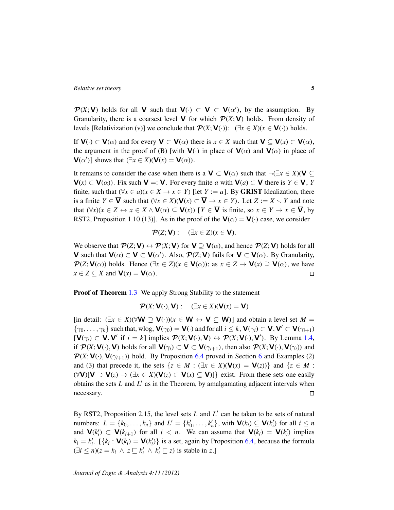$\mathcal{P}(X; V)$  holds for all V such that  $V(\cdot) \subset V \subset V(\alpha')$ , by the assumption. By Granularity, there is a coarsest level **V** for which  $\mathcal{P}(X; V)$  holds. From density of levels [Relativization (v)] we conclude that  $\mathcal{P}(X; V(\cdot))$ : ( $\exists x \in X$ )( $x \in V(\cdot)$ ) holds.

If  $V(\cdot) \subset V(\alpha)$  and for every  $V \subset V(\alpha)$  there is  $x \in X$  such that  $V \subseteq V(x) \subset V(\alpha)$ , the argument in the proof of (B) [with  $V(\cdot)$  in place of  $V(\alpha)$  and  $V(\alpha)$  in place of  $\mathbf{V}(\alpha')$ ] shows that  $(\exists x \in X)(\mathbf{V}(x) = \mathbf{V}(\alpha))$ .

It remains to consider the case when there is a  $V \subset V(\alpha)$  such that  $\neg(\exists x \in X)(V \subseteq$  $V(x) \subset V(\alpha)$ ). Fix such  $V =: \overline{V}$ . For every finite *a* with  $V(a) \subset \overline{V}$  there is  $Y \in \overline{V}$ , *Y* finite, such that  $(\forall x \in a)(x \in X \rightarrow x \in Y)$  [let *Y* := *a*]. By **GRIST** Idealization, there is a finite  $Y \in \overline{V}$  such that  $(\forall x \in X)(V(x) \subset \overline{V} \rightarrow x \in Y)$ . Let  $Z := X \setminus Y$  and note that  $(\forall x)(x \in Z \leftrightarrow x \in X \land \mathbf{V}(\alpha) \subseteq \mathbf{V}(x))$  [*Y*  $\in \mathbf{\overline{V}}$  is finite, so  $x \in Y \rightarrow x \in \mathbf{\overline{V}}$ , by RST2, Proposition 1.10 (13)]. As in the proof of the  $V(\alpha) = V(\cdot)$  case, we consider

$$
\mathcal{P}(Z; \mathbf{V}): (\exists x \in Z)(x \in \mathbf{V}).
$$

We observe that  $\mathcal{P}(Z; V) \leftrightarrow \mathcal{P}(X; V)$  for  $V \supseteq V(\alpha)$ , and hence  $\mathcal{P}(Z; V)$  holds for all **V** such that  $\mathbf{V}(\alpha) \subset \mathbf{V} \subset \mathbf{V}(\alpha')$ . Also,  $\mathcal{P}(Z; \mathbf{V})$  fails for  $\mathbf{V} \subset \mathbf{V}(\alpha)$ . By Granularity,  $\mathcal{P}(Z; \mathbf{V}(\alpha))$  holds. Hence  $(\exists x \in Z)(x \in \mathbf{V}(\alpha))$ ; as  $x \in Z \rightarrow \mathbf{V}(x) \supseteq \mathbf{V}(\alpha)$ , we have  $x \in Z \subseteq X$  and  $\mathbf{V}(x) = \mathbf{V}(\alpha)$ .  $\Box$ 

**Proof of Theorem [1.3](#page-3-0)** We apply Strong Stability to the statement

 $\mathcal{P}(X; \mathbf{V}(\cdot), \mathbf{V}):$  ( $\exists x \in X$ )( $\mathbf{V}(x) = \mathbf{V}$ )

[in detail:  $(\exists x \in X)(\forall \mathbf{W} \supseteq \mathbf{V}(\cdot))(x \in \mathbf{W} \leftrightarrow \mathbf{V} \subseteq \mathbf{W})$ ] and obtain a level set *M* =  $\{\gamma_0,\ldots,\gamma_k\}$  such that, wlog,  $\mathbf{V}(\gamma_0) = \mathbf{V}(\cdot)$  and for all  $i \leq k$ ,  $\mathbf{V}(\gamma_i) \subset \mathbf{V}, \mathbf{V}' \subset \mathbf{V}(\gamma_{i+1})$  $[\mathbf{V}(\gamma_i) \subset \mathbf{V}, \mathbf{V}'$  if  $i = k]$  implies  $\mathcal{P}(X; \mathbf{V}(\cdot), \mathbf{V}) \leftrightarrow \mathcal{P}(X; \mathbf{V}(\cdot), \mathbf{V}')$ . By Lemma [1.4,](#page-3-1) if  $\mathcal{P}(X; V(\cdot), V)$  holds for all  $V(\gamma_i) \subset V \subset V(\gamma_{i+1})$ , then also  $\mathcal{P}(X; V(\cdot), V(\gamma_i))$  and  $\mathcal{P}(X; V(\cdot), V(\gamma_{i+1}))$  hold. By Proposition [6.4](#page-21-0) proved in Section [6](#page-20-0) and Examples (2) and (3) that precede it, the sets  $\{z \in M : (\exists x \in X)(\mathbf{V}(x) = \mathbf{V}(z))\}$  and  $\{z \in M :$  $(\forall V)[V \supset V(z) \rightarrow (\exists x \in X)(V(z) \subset V(x) \subseteq V)]$ } exist. From these sets one easily obtains the sets  $L$  and  $L'$  as in the Theorem, by amalgamating adjacent intervals when necessary.  $\Box$ 

By RST2, Proposition 2.15, the level sets  $L$  and  $L'$  can be taken to be sets of natural numbers:  $L = \{k_0, \ldots, k_n\}$  and  $L' = \{k'_0, \ldots, k'_n\}$ , with  $\mathbf{V}(k_i) \subseteq \mathbf{V}(k'_i)$  for all  $i \leq n$ and  $\mathbf{V}(k_i') \subset \mathbf{V}(k_{i+1})$  for all  $i < n$ . We can assume that  $\mathbf{V}(k_i) = \mathbf{V}(k_i')$  implies  $k_i = k'_i$ . [ $\{k_i : \mathbf{V}(k_i) = \mathbf{V}(k'_i)\}$  is a set, again by Proposition [6.4,](#page-21-0) because the formula  $(\exists i \leq n)(z = k_i \land z \sqsubseteq k'_i \land k'_i \sqsubseteq z)$  is stable in *z*.]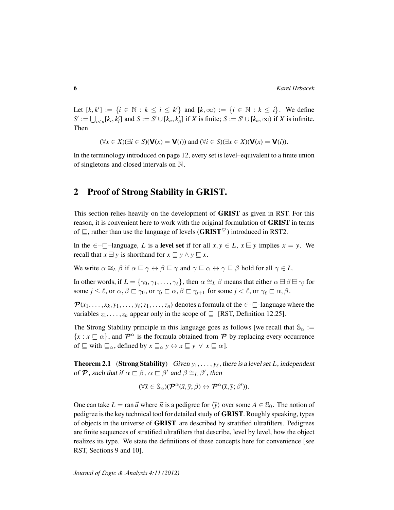Let  $[k, k'] := \{i \in \mathbb{N} : k \le i \le k'\}$  and  $[k, \infty) := \{i \in \mathbb{N} : k \le i\}$ . We define  $S' := \bigcup_{i < n}[k_i, k'_i]$  and  $S := S' \cup [k_n, k'_n]$  if X is finite;  $S := S' \cup [k_n, \infty)$  if X is infinite. Then

$$
(\forall x \in X)(\exists i \in S)(\mathbf{V}(x) = \mathbf{V}(i))
$$
 and  $(\forall i \in S)(\exists x \in X)(\mathbf{V}(x) = \mathbf{V}(i)).$ 

In the terminology introduced on page 12, every set is level–equivalent to a finite union of singletons and closed intervals on N.

# <span id="page-5-0"></span>2 Proof of Strong Stability in GRIST.

This section relies heavily on the development of GRIST as given in RST. For this reason, it is convenient here to work with the original formulation of GRIST in terms of  $\Box$ , rather than use the language of levels (GRIST<sup> $\heartsuit$ </sup>) introduced in RST2.

In the  $\in \subset \subset \subset$ –language, *L* is a level set if for all  $x, y \in L$ ,  $x \boxminus y$  implies  $x = y$ . We recall that  $x \boxminus y$  is shorthand for  $x \subseteq y \land y \subseteq x$ .

We write  $\alpha \cong_L \beta$  if  $\alpha \sqsubseteq \gamma \leftrightarrow \beta \sqsubseteq \gamma$  and  $\gamma \sqsubseteq \alpha \leftrightarrow \gamma \sqsubseteq \beta$  hold for all  $\gamma \in L$ .

In other words, if  $L = \{\gamma_0, \gamma_1, \dots, \gamma_\ell\}$ , then  $\alpha \cong_L \beta$  means that either  $\alpha \boxminus \beta \boxminus \gamma_j$  for some  $j \leq \ell$ , or  $\alpha, \beta \sqsubset \gamma_0$ , or  $\gamma_i \sqsubset \alpha, \beta \sqsubset \gamma_{i+1}$  for some  $j < \ell$ , or  $\gamma_\ell \sqsubset \alpha, \beta$ .

 $\mathcal{P}(x_1, \ldots, x_k, y_1, \ldots, y_\ell; z_1, \ldots, z_n)$  denotes a formula of the  $\in \text{-}\underline{\square}$ -language where the variables  $z_1, \ldots, z_n$  appear only in the scope of  $\subseteq$  [RST, Definition 12.25].

The Strong Stability principle in this language goes as follows [we recall that  $\mathcal{S}_{\alpha}$  :=  $\{x : x \sqsubseteq \alpha\}$ , and  $\mathcal{P}^{\alpha}$  is the formula obtained from  $\mathcal P$  by replacing every occurrence of  $\subseteq$  with  $\subseteq_{\alpha}$ , defined by  $x \subseteq_{\alpha} y \leftrightarrow x \subseteq y \lor x \subseteq \alpha$ .

<span id="page-5-1"></span>**Theorem 2.1** (Strong Stability) Given  $y_1, \ldots, y_\ell$ , there is a level set *L*, independent of  $\mathcal P$ , such that if  $\alpha \sqsubset \beta$ ,  $\alpha \sqsubset \beta'$  and  $\beta \cong_L \beta'$ , then

$$
(\forall \overline{x} \in \mathbb{S}_{\alpha})(\mathcal{P}^{\alpha}(\overline{x}, \overline{y}; \beta) \leftrightarrow \mathcal{P}^{\alpha}(\overline{x}, \overline{y}; \beta')).
$$

One can take  $L = \text{ran } \vec{u}$  where  $\vec{u}$  is a pedigree for  $\langle \bar{y} \rangle$  over some  $A \in \mathcal{S}_0$ . The notion of pedigree is the key technical tool for detailed study of GRIST. Roughly speaking, types of objects in the universe of GRIST are described by stratified ultrafilters. Pedigrees are finite sequences of stratified ultrafilters that describe, level by level, how the object realizes its type. We state the definitions of these concepts here for convenience [see RST, Sections 9 and 10].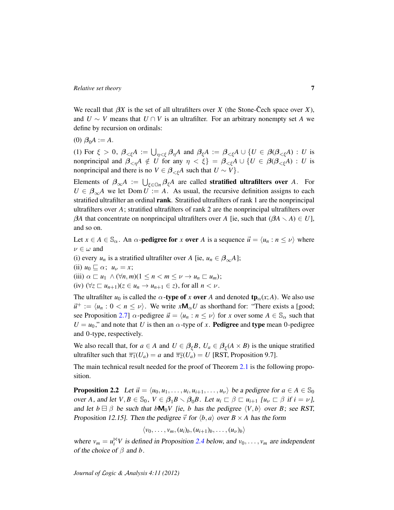We recall that  $\beta X$  is the set of all ultrafilters over *X* (the Stone-Cech space over *X*), and  $U \sim V$  means that  $U \cap V$  is an ultrafilter. For an arbitrary nonempty set A we define by recursion on ordinals:

(0)  $\beta_0 A := A$ .

(1) For  $\xi > 0$ ,  $\beta_{\leq \xi}A := \bigcup_{\eta \leq \xi} \beta_{\eta}A$  and  $\beta_{\xi}A := \beta_{\leq \xi}A \cup \{U \in \beta(\beta_{\leq \xi}A) : U$  is nonprincipal and  $\beta_{\leq \eta} A \notin U$  for any  $\eta \leq \xi$  =  $\beta_{\leq \xi} A \cup \{U \in \beta(\beta_{\leq \xi} A) : U$  is nonprincipal and there is no  $V \in \beta_{\leq \xi}A$  such that  $U \sim V$ .

Elements of  $\beta_{\infty}A := \bigcup_{\xi \in \mathbb{O}n} \beta_{\xi}A$  are called **stratified ultrafilters over** *A*. For  $U \in \beta_{\infty}A$  we let Dom  $U = A$ . As usual, the recursive definition assigns to each stratified ultrafilter an ordinal rank. Stratified ultrafilters of rank 1 are the nonprincipal ultrafilters over *A*; stratified ultrafilters of rank 2 are the nonprincipal ultrafilters over β*A* that concentrate on nonprincipal ultrafilters over *A* [ie, such that  $(βA \setminus A) \in U$ ], and so on.

Let  $x \in A \in \mathbb{S}_{\alpha}$ . An  $\alpha$ -**pedigree for** x **over** A is a sequence  $\vec{u} = \langle u_n : n \le \nu \rangle$  where  $\nu \in \omega$  and

(i) every *u<sub>n</sub>* is a stratified ultrafilter over *A* [ie,  $u_n \in \beta_{\infty}A$ ];

(ii)  $u_0 \sqsubseteq \alpha$ ;  $u_\nu = x$ ;

(iii)  $\alpha \sqsubset u_1 \wedge (\forall n, m) (1 \leq n < m \leq \nu \rightarrow u_n \sqsubset u_m);$ 

(iv)  $(\forall z \sqsubset u_{n+1})(z \in u_n \rightarrow u_{n+1} \in z)$ , for all  $n < \nu$ .

The ultrafilter  $u_0$  is called the  $\alpha$ -type of *x* over *A* and denoted  $\text{tp}_\alpha(x; A)$ . We also use  $\vec{u}^+ := \langle u_n : 0 < n \leq \nu \rangle$ . We write  $x \mathsf{M}_{\alpha} U$  as shorthand for: "There exists a [good; see Proposition [2.7\]](#page-9-0)  $\alpha$ -pedigree  $\vec{u} = \langle u_n : n \le \nu \rangle$  for *x* over some  $A \in \mathbb{S}_{\alpha}$  such that  $U = u_0$ ," and note that *U* is then an  $\alpha$ -type of *x*. **Pedigree** and **type** mean 0-pedigree and 0-type, respectively.

We also recall that, for  $a \in A$  and  $U \in \beta_{\xi}B$ ,  $U_a \in \beta_{\xi}(A \times B)$  is the unique stratified ultrafilter such that  $\overline{\pi_1}(U_a) = a$  and  $\overline{\pi_2}(U_a) = U$  [RST, Proposition 9.7].

The main technical result needed for the proof of Theorem [2.1](#page-5-1) is the following proposition.

<span id="page-6-0"></span>**Proposition 2.2** Let  $\vec{u} = \langle u_0, u_1, \dots, u_i, u_{i+1}, \dots, u_{\nu} \rangle$  be a pedigree for  $a \in A \in \mathbb{S}_0$ over *A*, and let  $V, B \in \mathbb{S}_0$ ,  $V \in \beta_1 B \setminus \beta_0 B$ . Let  $u_i \sqsubset \beta \sqsubset u_{i+1}$  [ $u_{\nu} \sqsubset \beta$  if  $i = \nu$ ], and let  $b \boxminus \beta$  be such that  $bM_0V$  [ie, *b* has the pedigree  $\langle V, b \rangle$  over *B*; see RST, Proposition 12.15]. Then the pedigree  $\vec{v}$  for  $\langle b, a \rangle$  over  $B \times A$  has the form

$$
\langle v_0,\ldots,v_m,(u_i)_b,(u_{i+1})_b,\ldots,(u_\nu)_b\rangle
$$

where  $v_m = u_i^{\bowtie} V$  is defined in Proposition [2.4](#page-7-0) below, and  $v_0, \ldots, v_m$  are independent of the choice of β and *b*.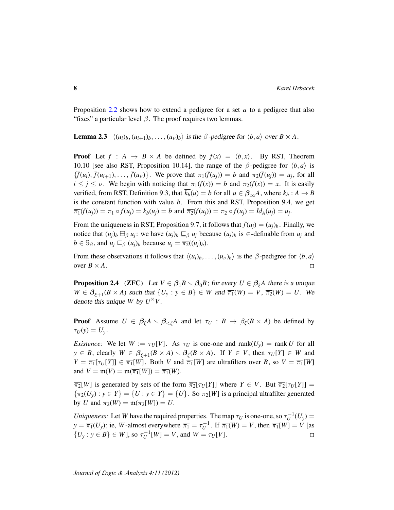Proposition [2.2](#page-6-0) shows how to extend a pedigree for a set *a* to a pedigree that also "fixes" a particular level  $\beta$ . The proof requires two lemmas.

<span id="page-7-1"></span>**Lemma 2.3**  $\langle (u_i)_b, (u_{i+1})_b, \dots, (u_{\nu})_b \rangle$  is the  $\beta$ -pedigree for  $\langle b, a \rangle$  over  $B \times A$ .

**Proof** Let  $f : A \rightarrow B \times A$  be defined by  $f(x) = \langle b, x \rangle$ . By RST, Theorem 10.10 [see also RST, Proposition 10.14], the range of the  $\beta$ -pedigree for  $\langle b, a \rangle$  is  ${\{\overline{f}(u_i), \overline{f}(u_{i+1}), \ldots, \overline{f}(u_{\nu})\}}$ . We prove that  $\overline{\pi_1}(\overline{f}(u_j)) = b$  and  $\overline{\pi_2}(\overline{f}(u_j)) = u_j$ , for all  $i \le j \le \nu$ . We begin with noticing that  $\pi_1(f(x)) = b$  and  $\pi_2(f(x)) = x$ . It is easily verified, from RST, Definition 9.3, that  $\overline{k_b}(u) = b$  for all  $u \in \beta_{\infty}A$ , where  $k_b : A \to B$ is the constant function with value *b*. From this and RST, Proposition 9.4, we get  $\overline{\pi_1}(f(u_j)) = \pi_1 \circ f(u_j) = k_b(u_j) = b$  and  $\overline{\pi_2}(f(u_j)) = \pi_2 \circ f(u_j) = Id_A(u_j) = u_j$ .

From the uniqueness in RST, Proposition 9.7, it follows that  $\bar{f}(u_i) = (u_i)_b$ . Finally, we notice that  $(u_j)_b \boxminus_\beta u_j$ : we have  $(u_j)_b \subseteq_\beta u_j$  because  $(u_j)_b$  is  $\in$ -definable from  $u_j$  and  $b \in \mathbb{S}_{\beta}$ , and  $u_j \sqsubseteq_{\beta} (u_j)_b$  because  $u_j = \overline{\pi_2}((u_j)_b)$ .

From these observations it follows that  $\langle (u_i)_b, \ldots, (u_\nu)_b \rangle$  is the  $\beta$ -pedigree for  $\langle b, a \rangle$ over  $B \times A$ .  $\Box$ 

<span id="page-7-0"></span>**Proposition 2.4** (ZFC) Let  $V \in \beta_1 B \setminus \beta_0 B$ ; for every  $U \in \beta_{\xi}A$  there is a unique  $W \in \beta_{\xi+1}(B \times A)$  such that  $\{U_y : y \in B\} \in W$  and  $\overline{\pi_1}(W) = V$ ,  $\overline{\pi_2}(W) = U$ . We denote this unique *W* by  $U^{\bowtie}V$ .

**Proof** Assume  $U \in \beta_{\xi}A \setminus \beta_{\leq \xi}A$  and let  $\tau_U : B \to \beta_{\xi}(B \times A)$  be defined by  $\tau_U(y) = U_y$ .

*Existence:* We let  $W := \tau_U[V]$ . As  $\tau_U$  is one-one and rank $(U_v)$  = rank U for all  $y \in B$ , clearly  $W \in \beta_{\xi+1}(B \times A) \setminus \beta_{\xi}(B \times A)$ . If  $Y \in V$ , then  $\tau_U[Y] \in W$  and  $Y = \overline{\pi_1}[\tau_U[Y]] \in \overline{\pi_1}[W]$ . Both *V* and  $\overline{\pi_1}[W]$  are ultrafilters over *B*, so  $V = \overline{\pi_1}[W]$ and  $V = \mathfrak{m}(V) = \mathfrak{m}(\overline{\pi_1}[W]) = \overline{\pi_1}(W)$ .

 $\overline{\pi_2}[W]$  is generated by sets of the form  $\overline{\pi_2}[\tau_U[Y]]$  where  $Y \in V$ . But  $\overline{\pi_2}[\tau_U[Y]]$  =  ${\overline{\pi_2}}(U_v): y \in Y$  =  ${U : y \in Y}$  =  ${U}.$  So  ${\overline{\pi_2}}[W]$  is a principal ultrafilter generated by *U* and  $\overline{\pi_2}(W) = \mathfrak{m}(\overline{\pi_2}[W]) = U$ .

*Uniqueness:* Let *W* have the required properties. The map  $\tau_U$  is one-one, so  $\tau_U^{-1}(U_y)$  =  $y = \overline{\pi_1}(U_y)$ ; ie, *W*-almost everywhere  $\overline{\pi_1} = \tau_U^{-1}$ . If  $\overline{\pi_1}(W) = V$ , then  $\overline{\pi_1}[W] = V$  [as  $\{U_y : y \in B\} \in W$ ], so  $\tau_U^{-1}[W] = V$ , and  $W = \tau_U[V]$ .  $\Box$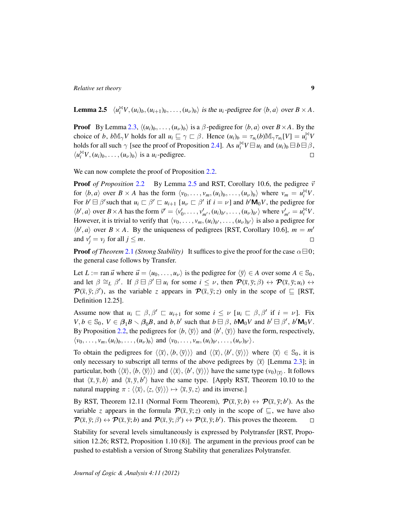<span id="page-8-0"></span>**Lemma 2.5**  $\langle u_i^{\bowtie} V, (u_i)_b, (u_{i+1})_b, \dots, (u_{\nu})_b \rangle$  is the  $u_i$ -pedigree for  $\langle b, a \rangle$  over  $B \times A$ .

**Proof** By Lemma [2.3,](#page-7-1)  $\langle (u_i)_b, \ldots, (u_\nu)_b \rangle$  is a  $\beta$ -pedigree for  $\langle b, a \rangle$  over  $B \times A$ . By the choice of *b*,  $bM_{\gamma}V$  holds for all  $u_i \subseteq \gamma \subset \beta$ . Hence  $(u_i)_b = \tau_{u_i}(b)M_{\gamma}\tau_{u_i}[V] = u_i^{\bowtie}V$ holds for all such  $\gamma$  [see the proof of Proposition [2.4\]](#page-7-0). As  $u_i^{\bowtie}V \boxminus u_i$  and  $(u_i)_b \boxminus b \boxminus \beta$ ,  $\langle u_i^{\bowtie} V, (u_i)_b, \ldots, (u_{\nu})_b \rangle$  is a  $u_i$ -pedigree.  $\Box$ 

We can now complete the proof of Proposition [2.2.](#page-6-0)

**Proof** *of Proposition* [2.2](#page-6-0) By Lemma [2.5](#page-8-0) and RST, Corollary 10.6, the pedigree  $\vec{v}$ for  $\langle b, a \rangle$  over  $B \times A$  has the form  $\langle v_0, \ldots, v_m, (u_i)_b, \ldots, (u_\nu)_b \rangle$  where  $v_m = u_i^{\bowtie} V$ . For  $b' \boxminus \beta'$  such that  $u_i \sqsubset \beta' \sqsubset u_{i+1}$  [ $u_{\nu} \sqsubset \beta'$  if  $i = \nu$ ] and  $b' \mathsf{M}_0 V$ , the pedigree for  $\langle b', a \rangle$  over  $B \times A$  has the form  $\vec{v}' = \langle v'_0, \dots, v'_{m'}, (u_i)_{b'}, \dots, (u_{\nu})_{b'} \rangle$  where  $v'_{m'} = u_i^{\bowtie} V$ . However, it is trivial to verify that  $\langle v_0, \ldots, v_m, (u_i)_{b'}, \ldots, (u_{\nu})_{b'} \rangle$  is also a pedigree for  $\langle b', a \rangle$  over  $B \times A$ . By the uniqueness of pedigrees [RST, Corollary 10.6],  $m = m'$ and  $v'_j = v_j$  for all  $j \leq m$ .  $\Box$ 

**Proof** *of Theorem* [2.1](#page-5-1) *(Strong Stability)* It suffices to give the proof for the case  $\alpha \boxminus 0$ ; the general case follows by Transfer.

Let *L* := ran  $\vec{u}$  where  $\vec{u} = \langle u_0, \dots, u_\nu \rangle$  is the pedigree for  $\langle \bar{y} \rangle \in A$  over some  $A \in \mathbb{S}_0$ , and let  $\beta \cong_L \beta'$ . If  $\beta \in \beta' \in \mathcal{U}_i$  for some  $i \leq \nu$ , then  $\mathcal{P}(\bar{x}, \bar{y}; \beta) \leftrightarrow \mathcal{P}(\bar{x}, \bar{y}; u_i) \leftrightarrow$  $\mathcal{P}(\bar{x}, \bar{y}; \beta')$ , as the variable *z* appears in  $\mathcal{P}(\bar{x}, \bar{y}; z)$  only in the scope of  $\subseteq$  [RST, Definition 12.25].

Assume now that  $u_i \nightharpoonup \beta$ ,  $\beta' \nightharpoonup u_{i+1}$  for some  $i \leq \nu$  [ $u_i \nightharpoonup \beta$ ,  $\beta'$  if  $i = \nu$ ]. Fix  $V, b \in \mathbb{S}_0$ ,  $V \in \beta_1 B \setminus \beta_0 B$ , and  $b, b'$  such that  $b \boxminus \beta$ ,  $b \mathsf{M}_0 V$  and  $b' \boxminus \beta'$ ,  $b' \mathsf{M}_0 V$ . By Proposition [2.2,](#page-6-0) the pedigrees for  $\langle b, \langle \bar{y} \rangle \rangle$  and  $\langle b', \langle \bar{y} \rangle \rangle$  have the form, respectively,  $\langle v_0, \ldots, v_m, (u_i)_b, \ldots, (u_\nu)_b \rangle$  and  $\langle v_0, \ldots, v_m, (u_i)_{b'}, \ldots, (u_\nu)_{b'} \rangle$ .

To obtain the pedigrees for  $\langle\langle \bar{x}\rangle, \langle b, \langle \bar{y} \rangle \rangle\rangle$  and  $\langle\langle \bar{x}\rangle, \langle b', \langle \bar{y} \rangle \rangle\rangle$  where  $\langle \bar{x} \rangle \in \mathbb{S}_0$ , it is only necessary to subscript all terms of the above pedigrees by  $\langle \bar{x} \rangle$  [Lemma [2.3\]](#page-7-1); in particular, both  $\langle\langle \overline{x}\rangle,\langle b,\langle \overline{y}\rangle\rangle\rangle$  and  $\langle\langle \overline{x}\rangle,\langle b',\langle \overline{y}\rangle\rangle\rangle$  have the same type  $(v_0)_{\langle \overline{x}\rangle}$ . It follows that  $\langle \bar{x}, \bar{y}, b \rangle$  and  $\langle \bar{x}, \bar{y}, b' \rangle$  have the same type. [Apply RST, Theorem 10.10 to the natural mapping  $\pi$  :  $\langle\langle \bar{x}\rangle, \langle z, \langle \bar{y}\rangle\rangle\rangle \mapsto \langle \bar{x}, \bar{y}, z\rangle$  and its inverse.]

By RST, Theorem 12.11 (Normal Form Theorem),  $\mathcal{P}(\bar{x}, \bar{y}; b) \leftrightarrow \mathcal{P}(\bar{x}, \bar{y}; b')$ . As the variable *z* appears in the formula  $\mathcal{P}(\bar{x}, \bar{y}; z)$  only in the scope of  $\bar{z}$ , we have also  $\mathcal{P}(\bar{x}, \bar{y}; \beta) \leftrightarrow \mathcal{P}(\bar{x}, \bar{y}; b)$  and  $\mathcal{P}(\bar{x}, \bar{y}; \beta') \leftrightarrow \mathcal{P}(\bar{x}, \bar{y}; b')$ . This proves the theorem.  $\Box$ 

Stability for several levels simultaneously is expressed by Polytransfer [RST, Proposition 12.26; RST2, Proposition 1.10 (8)]. The argument in the previous proof can be pushed to establish a version of Strong Stability that generalizes Polytransfer.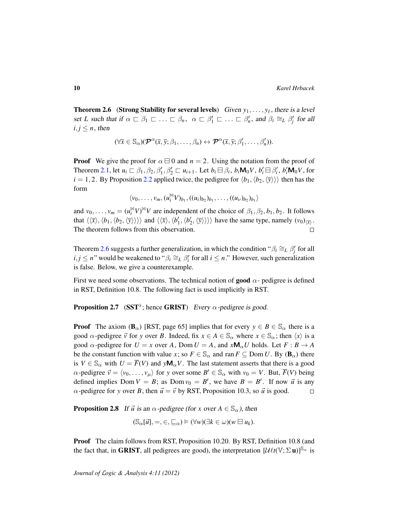<span id="page-9-1"></span>**Theorem 2.6** (Strong Stability for several levels) Given  $y_1, \ldots, y_\ell$ , there is a level set *L* such that if  $\alpha \subset \beta_1 \subset \ldots \subset \beta_n$ ,  $\alpha \subset \beta'_1 \subset \ldots \subset \beta'_n$ , and  $\beta_i \cong_L \beta'_j$  for all  $i, j \leq n$ , then

$$
(\forall \overline{x} \in \mathbb{S}_{\alpha})(\mathcal{P}^{\alpha}(\overline{x},\overline{y};\beta_1,\ldots,\beta_n) \leftrightarrow \mathcal{P}^{\alpha}(\overline{x},\overline{y};\beta'_1,\ldots,\beta'_n)).
$$

**Proof** We give the proof for  $\alpha \boxminus 0$  and  $n = 2$ . Using the notation from the proof of Theorem [2.1,](#page-5-1) let  $u_i \,\subset \,\beta_1, \beta_2, \beta'_1, \beta'_2 \subset u_{i+1}$ . Let  $b_i \boxminus \beta_i$ ,  $b_i \mathbf{M}_0 V$ ,  $b'_i \boxminus \beta'_i$ ,  $b'_i \mathbf{M}_0 V$ , for  $i = 1, 2$ . By Proposition [2.2](#page-6-0) applied twice, the pedigree for  $\langle b_1, b_2, \langle \bar{y} \rangle \rangle$  then has the form

 $\langle v_0, \ldots, v_m, (u_i^{\bowtie} V)_{b_1}, ((u_i)_{b_2})_{b_1}, \ldots, ((u_{\nu})_{b_2})_{b_1} \rangle$ 

and  $v_0, \ldots, v_m = (u_i^M V)^M V$  are independent of the choice of  $\beta_1, \beta_2, b_1, b_2$ . It follows that  $\langle\langle \bar{x}\rangle, \langle b_1, \langle b_2, \langle \bar{y} \rangle \rangle\rangle\rangle$  and  $\langle\langle \bar{x}\rangle, \langle b'_1, \langle b'_2, \langle \bar{y} \rangle \rangle\rangle\rangle$  have the same type, namely  $(v_0)_{\langle \bar{x} \rangle}$ . The theorem follows from this observation.  $\Box$ 

Theorem [2.6](#page-9-1) suggests a further generalization, in which the condition " $\beta_i \cong_L \beta'_j$  for all  $i, j \leq n$ " would be weakened to " $\beta_i \cong_L \beta'_i$  for all  $i \leq n$ ." However, such generalization is false. Below, we give a counterexample.

First we need some observations. The technical notion of **good**  $\alpha$ -pedigree is defined in RST, Definition 10.8. The following fact is used implicitly in RST.

<span id="page-9-0"></span>**Proposition 2.7** (SST<sup>b</sup>; hence GRIST) Every  $\alpha$ -pedigree is good.

**Proof** The axiom ( $\mathbf{B}_{\alpha}$ ) [RST, page 65] implies that for every  $y \in B \in \mathbb{S}_{\alpha}$  there is a good  $\alpha$ -pedigree  $\vec{v}$  for *y* over *B*. Indeed, fix  $x \in A \in \mathbb{S}_{\alpha}$  where  $x \in \mathbb{S}_{\alpha}$ ; then  $\langle x \rangle$  is a good  $\alpha$ -pedigree for  $U = x$  over A, Dom  $U = A$ , and  $xM_{\alpha}U$  holds. Let  $F : B \to A$ be the constant function with value *x*; so  $F \in \mathbb{S}_{\alpha}$  and ran  $F \subseteq$  Dom *U*. By ( $\mathbf{B}_{\alpha}$ ) there is  $V \in \mathbb{S}_{\alpha}$  with  $U = \overline{F}(V)$  and  $y\mathsf{M}_{\alpha}V$ . The last statement asserts that there is a good  $\alpha$ -pedigree  $\vec{v} = \langle v_0, \dots, v_\mu \rangle$  for *y* over some  $B' \in \mathbb{S}_\alpha$  with  $v_0 = V$ . But,  $\overline{F}(V)$  being defined implies Dom  $V = B$ ; as Dom  $v_0 = B'$ , we have  $B = B'$ . If now  $\vec{u}$  is any  $\alpha$ -pedigree for *y* over *B*, then  $\vec{u} = \vec{v}$  by RST, Proposition 10.3, so  $\vec{u}$  is good.  $\Box$ 

<span id="page-9-2"></span>**Proposition 2.8** If  $\vec{u}$  is an  $\alpha$ -pedigree (for x over  $A \in \mathbb{S}_{\alpha}$ ), then

$$
(\mathbb{S}_{\alpha}[\vec{u}], =, \in, \sqsubseteq_{\alpha}) \models (\forall w)(\exists k \in \omega)(w \boxminus u_k).
$$

Proof The claim follows from RST, Proposition 10.20. By RST, Definition 10.8 (and the fact that, in GRIST, all pedigrees are good), the interpretation  $[\mathcal{U} \ell t(\mathbb{V}; \Sigma \mathbf{u})]^{\mathbb{S}_{\alpha}}$  is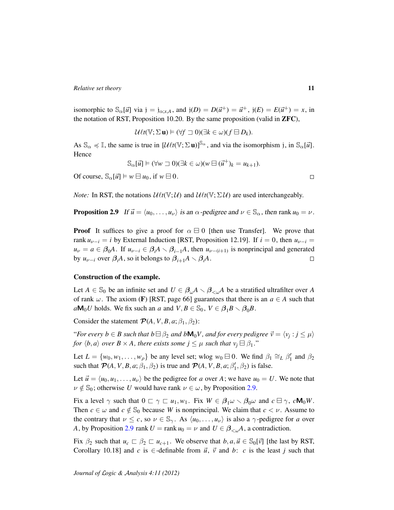isomorphic to  $\mathbb{S}_{\alpha}[\vec{u}]$  via  $j = j_{\alpha;x,A}$ , and  $j(D) = D(\vec{u}^+) = \vec{u}^+$ ,  $j(E) = E(\vec{u}^+) = x$ , in the notation of RST, Proposition 10.20. By the same proposition (valid in ZFC),

$$
\mathcal{U}\ell t(\mathbb{V};\Sigma\,\mathbf{u})\vDash (\forall f\,\,\exists\,\,0)(\exists k\in\omega)(f\,\,\exists\,D_k).
$$

As  $\mathbb{S}_{\alpha} \preccurlyeq \mathbb{I}$ , the same is true in  $[\mathcal{U} \ell t(\mathbb{V}; \Sigma \mathbf{u})]^{\mathbb{S}_{\alpha}}$ , and via the isomorphism j, in  $\mathbb{S}_{\alpha}[\vec{u}]$ . Hence

$$
\mathbb{S}_{\alpha}[\vec{u}] \models (\forall w \sqsupset 0)(\exists k \in \omega)(w \boxminus (\vec{u}^+)_k = u_{k+1}).
$$

Of course,  $\mathbb{S}_{\alpha}[\vec{u}] \models w \boxminus u_0$ , if  $w \boxminus 0$ .

*Note:* In RST, the notations  $\mathcal{U}\ell t(\mathbb{V}; \mathcal{U})$  and  $\mathcal{U}\ell t(\mathbb{V}; \Sigma \mathcal{U})$  are used interchangeably.

<span id="page-10-0"></span>**Proposition 2.9** If  $\vec{u} = \langle u_0, \ldots, u_{\nu} \rangle$  is an  $\alpha$ -pedigree and  $\nu \in \mathbb{S}_{\alpha}$ , then rank  $u_0 = \nu$ .

**Proof** It suffices to give a proof for  $\alpha \boxminus 0$  [then use Transfer]. We prove that rank  $u_{\nu-i} = i$  by External Induction [RST, Proposition 12.19]. If  $i = 0$ , then  $u_{\nu-i} =$  $u_{\nu} = a \in \beta_0 A$ . If  $u_{\nu-i} \in \beta_i A \setminus \beta_{i-1} A$ , then  $u_{\nu-(i+1)}$  is nonprincipal and generated by  $u_{\nu-i}$  over  $\beta_i A$ , so it belongs to  $\beta_{i+1} A \setminus \beta_i A$ .  $\Box$ 

#### Construction of the example.

Let  $A \in \mathbb{S}_0$  be an infinite set and  $U \in \beta_{\omega}A \setminus \beta_{\leq \omega}A$  be a stratified ultrafilter over A of rank  $\omega$ . The axiom (F) [RST, page 66] guarantees that there is an  $a \in A$  such that  $aM_0U$  holds. We fix such an *a* and  $V, B \in \mathbb{S}_0$ ,  $V \in \mathcal{B}_1B \setminus \mathcal{B}_0B$ .

Consider the statement  $P(A, V, B, a; \beta_1, \beta_2)$ :

"For every  $b \in B$  such that  $b \boxminus \beta_2$  and  $b \mathsf{M}_0 V$ , and for every pedigree  $\vec{v} = \langle v_j : j \leq \mu \rangle$ *for*  $\langle b, a \rangle$  *over*  $B \times A$ *, there exists some*  $j \leq \mu$  *such that*  $v_i \boxminus \beta_1$ *.*"

Let  $L = \{w_0, w_1, \ldots, w_\rho\}$  be any level set; wlog  $w_0 \boxminus 0$ . We find  $\beta_1 \cong_L \beta'_1$  and  $\beta_2$ such that  $\mathcal{P}(A, V, B, a; \beta_1, \beta_2)$  is true and  $\mathcal{P}(A, V, B, a; \beta'_1, \beta_2)$  is false.

Let  $\vec{u} = \langle u_0, u_1, \dots, u_\nu \rangle$  be the pedigree for *a* over *A*; we have  $u_0 = U$ . We note that  $\nu \notin \mathbb{S}_0$ ; otherwise *U* would have rank  $\nu \in \omega$ , by Proposition [2.9.](#page-10-0)

Fix a level  $\gamma$  such that  $0 \subset \gamma \subset u_1, w_1$ . Fix  $W \in \beta_1 \omega \setminus \beta_0 \omega$  and  $c \boxminus \gamma$ ,  $c \mathsf{M}_0 W$ . Then  $c \in \omega$  and  $c \notin \mathbb{S}_0$  because *W* is nonprincipal. We claim that  $c < v$ . Assume to the contrary that  $\nu \leq c$ , so  $\nu \in \mathbb{S}_{\gamma}$ . As  $\langle u_0, \ldots, u_{\nu} \rangle$  is also a  $\gamma$ -pedigree for *a* over *A*, by Proposition [2.9](#page-10-0) rank  $U = \text{rank } u_0 = \nu$  and  $U \in \beta_{\leq \omega}A$ , a contradiction.

Fix  $\beta_2$  such that  $u_c \subseteq \beta_2 \subseteq u_{c+1}$ . We observe that  $b, a, \vec{u} \in \mathbb{S}_0[\vec{v}]$  [the last by RST, Corollary 10.18] and *c* is  $\in$ -definable from  $\vec{u}$ ,  $\vec{v}$  and *b*: *c* is the least *j* such that

 $\Box$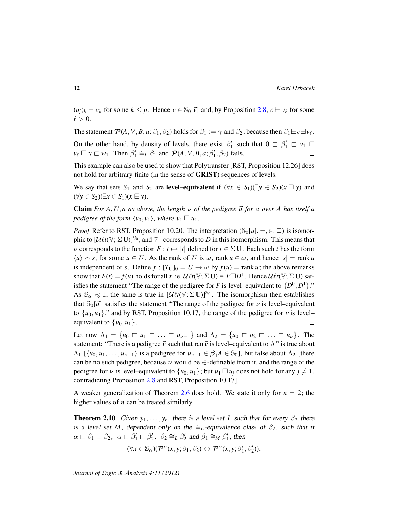$(u_i)_b = v_k$  for some  $k \leq \mu$ . Hence  $c \in \mathbb{S}_0[\vec{v}]$  and, by Proposition [2.8,](#page-9-2)  $c \in v_\ell$  for some  $\ell > 0$ .

The statement  $\mathcal{P}(A, V, B, a; \beta_1, \beta_2)$  holds for  $\beta_1 := \gamma$  and  $\beta_2$ , because then  $\beta_1 \boxminus c \boxminus v_\ell$ . On the other hand, by density of levels, there exist  $\beta'_1$  such that  $0 \subset \beta'_1 \subset \nu_1 \subseteq$  $v_{\ell} \boxminus \gamma \sqsubset w_1$ . Then  $\beta'_1 \cong_L \beta_1$  and  $\mathcal{P}(A, V, B, a; \beta'_1, \beta_2)$  fails.  $\Box$ 

This example can also be used to show that Polytransfer [RST, Proposition 12.26] does not hold for arbitrary finite (in the sense of GRIST) sequences of levels.

We say that sets  $S_1$  and  $S_2$  are **level–equivalent** if  $(\forall x \in S_1)(\exists y \in S_2)(x \boxminus y)$  and  $(\forall y \in S_2)(\exists x \in S_1)(x \boxminus y)$ .

**Claim** *For A*, *U*, *a as above, the length*  $\nu$  *of the pedigree*  $\vec{u}$  *for a over A has itself a pedigree of the form*  $\langle v_0, v_1 \rangle$ , where  $v_1 \boxminus u_1$ .

*Proof* Refer to RST, Proposition 10.20. The interpretation  $(\mathcal{S}_0[\vec{u}], =, \in, \sqsubseteq)$  is isomorphic to  $[\mathcal{U}\ell t(\mathbb{V}; \Sigma \mathbf{U})]^{\mathbb{S}_0}$ , and  $\vec{v}^+$  corresponds to *D* in this isomorphism. This means that  $\nu$  corresponds to the function  $F : t \mapsto |t|$  defined for  $t \in \Sigma$  U. Each such *t* has the form  $\langle u \rangle \sim s$ , for some  $u \in U$ . As the rank of *U* is  $\omega$ , rank  $u \in \omega$ , and hence  $|s| = \text{rank } u$ is independent of *s*. Define  $f : [T_U]_0 = U \rightarrow \omega$  by  $f(u) = \text{rank } u$ ; the above remarks show that  $F(t) = f(u)$  holds for all *t*, ie,  $\mathcal{U} \ell t(\mathbb{V}; \Sigma \mathbf{U}) \models F \boxminus D^1$ . Hence  $\mathcal{U} \ell t(\mathbb{V}; \Sigma \mathbf{U})$  satisfies the statement "The range of the pedigree for *F* is level–equivalent to  $\{D^0, D^1\}$ ." As  $\mathbb{S}_{\alpha} \preccurlyeq \mathbb{I}$ , the same is true in  $[\mathcal{U} \ell t(\mathbb{V}; \Sigma \mathbf{U})]^{S_0}$ . The isomorphism then establishes that  $\mathbb{S}_0[\vec{u}]$  satisfies the statement "The range of the pedigree for  $\nu$  is level–equivalent to  $\{u_0, u_1\}$ ," and by RST, Proposition 10.17, the range of the pedigree for  $\nu$  is level– equivalent to  $\{u_0, u_1\}$ .  $\Box$ 

Let now  $\Lambda_1 = \{u_0 \sqsubset u_1 \sqsubset \ldots \sqsubset u_{\nu-1}\}\$  and  $\Lambda_2 = \{u_0 \sqsubset u_2 \sqsubset \ldots \sqsubset u_{\nu}\}\$ . The statement: "There is a pedigree  $\vec{v}$  such that ran  $\vec{v}$  is level–equivalent to  $\Lambda$ " is true about  $\Lambda_1$  [ $\langle u_0, u_1, \ldots, u_{\nu-1} \rangle$  is a pedigree for  $u_{\nu-1} \in \beta_1 A \in \mathbb{S}_0$ ], but false about  $\Lambda_2$  [there can be no such pedigree, because  $\nu$  would be  $\in$ -definable from it, and the range of the pedigree for  $\nu$  is level–equivalent to  $\{u_0, u_1\}$ ; but  $u_1 \boxminus u_i$  does not hold for any  $j \neq 1$ , contradicting Proposition [2.8](#page-9-2) and RST, Proposition 10.17].

A weaker generalization of Theorem [2.6](#page-9-1) does hold. We state it only for  $n = 2$ ; the higher values of *n* can be treated similarly.

**Theorem 2.10** Given  $y_1, \ldots, y_\ell$ , there is a level set *L* such that for every  $\beta_2$  there is a level set *M*, dependent only on the  $\cong_L$ -equivalence class of  $\beta_2$ , such that if  $\alpha \sqsubset \beta_1 \sqsubset \beta_2$ ,  $\alpha \sqsubset \beta_1' \sqsubset \beta_2'$ ,  $\beta_2 \cong_L \beta_2'$  and  $\beta_1 \cong_M \beta_1'$ , then

$$
(\forall \overline{x} \in \mathbb{S}_{\alpha})(\mathcal{P}^{\alpha}(\overline{x}, \overline{y}; \beta_1, \beta_2) \leftrightarrow \mathcal{P}^{\alpha}(\overline{x}, \overline{y}; \beta_1', \beta_2')).
$$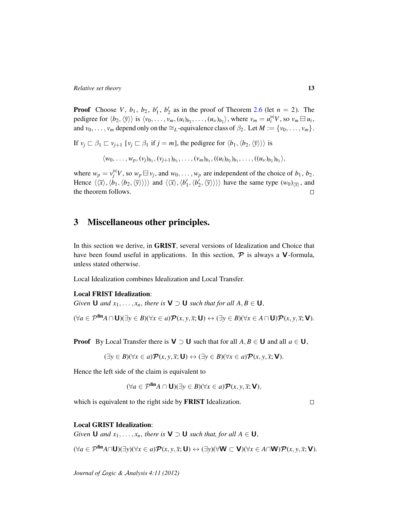**Proof** Choose *V*,  $b_1$ ,  $b_2$ ,  $b'_1$ ,  $b'_2$  as in the proof of Theorem [2.6](#page-9-1) (let  $n = 2$ ). The pedigree for  $\langle b_2, \langle \overline{y} \rangle \rangle$  is  $\langle v_0, \dots, v_m, (u_i)_{b_2}, \dots, (u_{\nu})_{b_2} \rangle$ , where  $v_m = u_i^{\bowtie} V$ , so  $v_m \boxminus u_i$ , and  $v_0, \ldots, v_m$  depend only on the ≅<sub>L</sub>-equivalence class of  $\beta_2$ . Let  $M := \{v_0, \ldots, v_m\}$ .

If  $v_j \nightharpoonup \beta_1 \nightharpoonup v_{j+1}$  [ $v_j \nightharpoonup \beta_1$  if  $j = m$ ], the pedigree for  $\langle b_1, \langle b_2, \langle \overline{y} \rangle \rangle$  is

$$
\langle w_0,\ldots,w_p,(v_j)_{b_1},(v_{j+1})_{b_1},\ldots,(v_m)_{b_1},((u_i)_{b_2})_{b_1},\ldots,((u_{\nu})_{b_2})_{b_1}\rangle,
$$

where  $w_p = v_j^{\bowtie} V$ , so  $w_p \boxminus v_j$ , and  $w_0, \ldots, w_p$  are independent of the choice of  $b_1, b_2$ . Hence  $\langle\langle \bar{x}\rangle, \langle \dot{b}_1, \langle b_2, \langle \bar{y} \rangle \rangle\rangle\rangle$  and  $\langle\langle \bar{x}\rangle, \langle b'_1, \langle b'_2, \langle \bar{y} \rangle \rangle\rangle\rangle$  have the same type  $(w_0)_{\langle \bar{x} \rangle}$ , and the theorem follows.  $\Box$ 

# <span id="page-12-0"></span>3 Miscellaneous other principles.

In this section we derive, in GRIST, several versions of Idealization and Choice that have been found useful in applications. In this section,  $P$  is always a **V**-formula, unless stated otherwise.

Local Idealization combines Idealization and Local Transfer.

#### Local FRIST Idealization:

*Given* **U** *and*  $x_1, \ldots, x_n$ *, there is*  $V \supset U$  *such that for all*  $A, B \in U$ *,* 

$$
(\forall a \in \mathcal{P}^{\text{fin}} A \cap U)(\exists y \in B)(\forall x \in a) \mathcal{P}(x, y, \overline{x}; U) \leftrightarrow (\exists y \in B)(\forall x \in A \cap U) \mathcal{P}(x, y, \overline{x}; V).
$$

**Proof** By Local Transfer there is  $V \supset U$  such that for all  $A, B \in U$  and all  $a \in U$ ,

$$
(\exists y \in B)(\forall x \in a)\mathcal{P}(x, y, \overline{x}; \mathbf{U}) \leftrightarrow (\exists y \in B)(\forall x \in a)\mathcal{P}(x, y, \overline{x}; \mathbf{V}).
$$

Hence the left side of the claim is equivalent to

$$
(\forall a \in \mathcal{P}^{\text{fin}} A \cap \mathbf{U})(\exists y \in B)(\forall x \in a) \mathcal{P}(x, y, \overline{x}; \mathbf{V}),
$$

which is equivalent to the right side by FRIST Idealization.

 $\Box$ 

#### Local GRIST Idealization:

*Given* **U** *and*  $x_1, \ldots, x_n$ *, there is*  $V \supset U$  *such that, for all*  $A \in U$ *,* 

 $(\forall a \in \mathcal{P}^{\text{fin}}A \cap \mathbf{U})(\exists y)(\forall x \in a) \mathcal{P}(x, y, \overline{x}; \mathbf{U}) \leftrightarrow (\exists y)(\forall \mathbf{W} \subset \mathbf{V})(\forall x \in A \cap \mathbf{W}) \mathcal{P}(x, y, \overline{x}; \mathbf{V}).$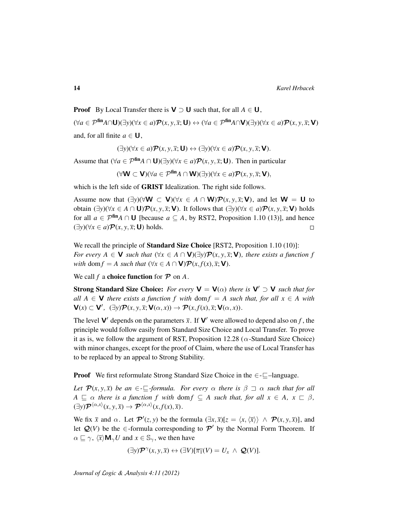**Proof** By Local Transfer there is  $V \supset U$  such that, for all  $A \in U$ , (∀*a* ∈ Pfin*A*∩U)(∃*y*)(∀*x* ∈ *a*)P(*x*, *y*, *x*; U) ↔ (∀*a* ∈ Pfin*A*∩V)(∃*y*)(∀*x* ∈ *a*)P(*x*, *y*, *x*; V) and, for all finite  $a \in U$ ,

$$
(\exists y)(\forall x \in a) \mathcal{P}(x, y, \overline{x}; \mathbf{U}) \leftrightarrow (\exists y)(\forall x \in a) \mathcal{P}(x, y, \overline{x}; \mathbf{V}).
$$

Assume that  $(\forall a \in P^{\text{fin}}A \cap U)(\exists y)(\forall x \in a)P(x, y, \overline{x}; U)$ . Then in particular

$$
(\forall \mathbf{W} \subset \mathbf{V})(\forall a \in \mathcal{P}^{\text{fin}}A \cap \mathbf{W})(\exists y)(\forall x \in a)\mathcal{P}(x, y, \overline{x}; \mathbf{V}),
$$

which is the left side of **GRIST** Idealization. The right side follows.

Assume now that  $(\exists y)(\forall W \subset V)(\forall x \in A \cap W)\mathcal{P}(x, y, \overline{x}; V)$ , and let  $W = U$  to obtain  $(\exists y)(\forall x \in A \cap \mathbf{U})\mathcal{P}(x, y, \overline{x}; \mathbf{V})$ . It follows that  $(\exists y)(\forall x \in a)\mathcal{P}(x, y, \overline{x}; \mathbf{V})$  holds for all  $a \in \mathcal{P}^{\text{fin}}A \cap \mathbf{U}$  [because  $a \subseteq A$ , by RST2, Proposition 1.10 (13)], and hence  $(\exists y)(\forall x \in a)$  $\mathcal{P}(x, y, \overline{x}; \mathbf{U})$  holds.  $\Box$ 

We recall the principle of **Standard Size Choice** [RST2, Proposition 1.10 (10)]: *For every*  $A \in \mathbf{V}$  *such that*  $(\forall x \in A \cap \mathbf{V})(\exists y) \mathcal{P}(x, y, \overline{x}; \mathbf{V})$ *, there exists a function f with* dom  $f = A$  *such that*  $(\forall x \in A \cap \mathbf{V}) \mathcal{P}(x, f(x), \overline{x}; \mathbf{V})$ *.* 

We call  $f$  a **choice function** for  $\mathcal{P}$  on  $A$ .

**Strong Standard Size Choice:** *For every*  $V = V(\alpha)$  *there is*  $V' \supset V$  *such that for all*  $A \in V$  *there exists a function f with* dom  $f = A$  *such that, for all*  $x \in A$  *with*  $\mathbf{V}(x) \subset \mathbf{V}'$ ,  $(\exists y)\mathcal{P}(x, y, \overline{x}; \mathbf{V}(\alpha, x)) \to \mathcal{P}(x, f(x), \overline{x}; \mathbf{V}(\alpha, x)).$ 

The level **V'** depends on the parameters  $\bar{x}$ . If **V'** were allowed to depend also on *f*, the principle would follow easily from Standard Size Choice and Local Transfer. To prove it as is, we follow the argument of RST, Proposition 12.28 ( $\alpha$ -Standard Size Choice) with minor changes, except for the proof of Claim, where the use of Local Transfer has to be replaced by an appeal to Strong Stability.

**Proof** We first reformulate Strong Standard Size Choice in the  $\in$ - $\sqsubseteq$ -language.

*Let*  $\mathcal{P}(x, y, \overline{x})$  *be an*  $\in$ - $\subseteq$ -formula. For every  $\alpha$  there is  $\beta \supset \alpha$  such that for all  $A \sqsubseteq \alpha$  *there is a function f with* dom  $f \subseteq A$  *such that, for all*  $x \in A$ ,  $x \sqsubset \beta$ *,*  $(\exists y) \mathcal{P}^{\langle \alpha,x \rangle}(x,y,\overline{x}) \rightarrow \mathcal{P}^{\langle \alpha,x \rangle}(x,f(x),\overline{x}).$ 

We fix  $\bar{x}$  and  $\alpha$ . Let  $\mathcal{P}'(z, y)$  be the formula  $(\exists x, \bar{x})[z = \langle x, \langle \bar{x} \rangle \rangle \land \mathcal{P}(x, y, \bar{x})]$ , and let  $Q(V)$  be the  $\in$ -formula corresponding to  $\mathcal{P}'$  by the Normal Form Theorem. If  $\alpha \sqsubseteq \gamma$ ,  $\langle \overline{x} \rangle \mathbf{M}_{\gamma} U$  and  $x \in \mathbb{S}_{\gamma}$ , we then have

$$
(\exists y)\mathcal{P}^{\gamma}(x,y,\overline{x})\leftrightarrow(\exists V)[\overline{\pi_1}(V)=U_x\,\wedge\,\mathcal{Q}(V)].
$$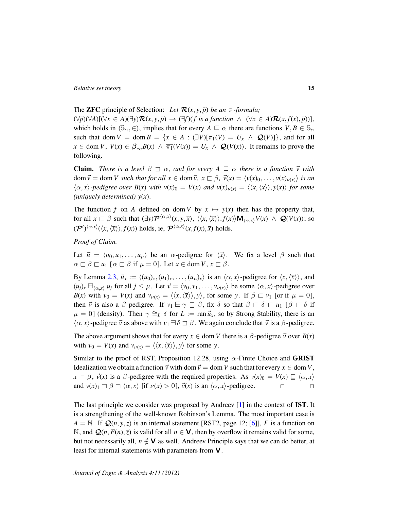## The **ZFC** principle of Selection: *Let*  $\mathcal{R}(x, y, \bar{p})$  *be an*  $\in$ *-formula;*

 $(\forall \bar{p})(\forall A)[(\forall x \in A)(\exists y)\mathcal{R}(x, y, \bar{p}) \rightarrow (\exists f)(f \text{ is a function } \land (\forall x \in A)\mathcal{R}(x, f(x), \bar{p}))],$ which holds in  $(\mathbb{S}_{\alpha}, \in)$ , implies that for every  $A \sqsubseteq \alpha$  there are functions  $V, B \in \mathbb{S}_{\alpha}$ such that dom  $V = \text{dom } B = \{x \in A : (\exists V)[\overline{\pi_1}(V) = U_x \land Q(V)]\}$ , and for all  $x \in \text{dom } V$ ,  $V(x) \in \beta_{\infty} B(x) \land \overline{\pi_1}(V(x)) = U_x \land Q(V(x))$ . It remains to prove the following.

**Claim.** *There is a level*  $\beta \supset \alpha$ , and for every  $A \subseteq \alpha$  there is a function  $\vec{v}$  with dom  $\vec{v} =$  dom *V* such that for all  $x \in$  dom  $\vec{v}$ ,  $x \in \beta$ ,  $\vec{v}(x) = \langle v(x)_0, \ldots, v(x)_{\nu(x)} \rangle$  is an  $\langle \alpha, x \rangle$ -pedigree over  $B(x)$  with  $v(x)_0 = V(x)$  and  $v(x)_{\nu(x)} = \langle \langle x, \langle \overline{x} \rangle \rangle, y(x) \rangle$  for some *(uniquely determined) y*(*x*)*.*

The function *f* on *A* defined on dom *V* by  $x \mapsto y(x)$  then has the property that, for all  $x \in \beta$  such that  $(\exists y) \mathcal{P}^{\langle \alpha,x \rangle}(x, y, \overline{x}), \langle\langle x, \langle \overline{x} \rangle\rangle, f(x) \rangle \mathbf{M}_{\langle \alpha,x \rangle} V(x) \land \mathcal{Q}(V(x));$  so  $(\mathcal{P}')^{\langle \alpha,x\rangle}(\langle x,\langle \overline{x}\rangle\rangle, f(x))$  holds, ie,  $\mathcal{P}^{\langle \alpha,x\rangle}(x,f(x),\overline{x})$  holds.

#### *Proof of Claim.*

Let  $\vec{u} = \langle u_0, u_1, \dots, u_\mu \rangle$  be an  $\alpha$ -pedigree for  $\langle \overline{x} \rangle$ . We fix a level  $\beta$  such that  $\alpha \sqsubset \beta \sqsubset u_1$  [ $\alpha \sqsubset \beta$  if  $\mu = 0$ ]. Let  $x \in \text{dom } V, x \sqsubset \beta$ .

By Lemma [2.3,](#page-7-1)  $\vec{u}_x := \langle (u_0)_x, (u_1)_x, \dots, (u_\mu)_x \rangle$  is an  $\langle \alpha, x \rangle$ -pedigree for  $\langle x, \langle \overline{x} \rangle \rangle$ , and  $(u_j)_x \boxminus_{(\alpha,x)} u_j$  for all  $j \leq \mu$ . Let  $\vec{v} = \langle v_0, v_1, \ldots, v_{\nu(x)} \rangle$  be some  $\langle \alpha, x \rangle$ -pedigree over *B*(*x*) with  $v_0 = V(x)$  and  $v_{\nu(x)} = \langle \langle x, \langle \overline{x} \rangle \rangle, y \rangle$ , for some *y*. If  $\beta \subset v_1$  [or if  $\mu = 0$ ], then  $\vec{v}$  is also a  $\beta$ -pedigree. If  $v_1 \boxminus \gamma \sqsubseteq \beta$ , fix  $\delta$  so that  $\beta \sqsubset \delta \sqsubset u_1$  [ $\beta \sqsubset \delta$  if  $\mu = 0$ ] (density). Then  $\gamma \cong_L \delta$  for  $L := \text{ran } \vec{u}_x$ , so by Strong Stability, there is an  $\langle \alpha, x \rangle$ -pedigree  $\vec{v}$  as above with  $v_1 \boxminus \delta \supset \beta$ . We again conclude that  $\vec{v}$  is a  $\beta$ -pedigree.

The above argument shows that for every  $x \in \text{dom } V$  there is a  $\beta$ -pedigree  $\vec{v}$  over  $B(x)$ with  $v_0 = V(x)$  and  $v_{\nu(x)} = \langle \langle x, \langle \overline{x} \rangle \rangle, y \rangle$  for some *y*.

Similar to the proof of RST, Proposition 12.28, using  $\alpha$ -Finite Choice and GRIST Idealization we obtain a function  $\vec{v}$  with dom  $\vec{v} =$  dom *V* such that for every  $x \in$  dom *V*,  $x \nightharpoonup \beta$ ,  $\vec{v}(x)$  is a  $\beta$ -pedigree with the required properties. As  $v(x)_0 = V(x) \sqsubseteq \langle \alpha, x \rangle$ and  $v(x)_1 \rightrightarrows \beta \rightrightarrows \langle \alpha, x \rangle$  [if  $v(x) > 0$ ],  $\vec{v}(x)$  is an  $\langle \alpha, x \rangle$ -pedigree.  $\Box$  $\Box$ 

The last principle we consider was proposed by Andreev [\[1\]](#page-23-7) in the context of IST. It is a strengthening of the well-known Robinson's Lemma. The most important case is  $A = \mathbb{N}$ . If  $\mathcal{Q}(n, y, \overline{z})$  is an internal statement [RST2, page 12; [\[6\]](#page-23-3)], *F* is a function on N, and  $Q(n, F(n), \bar{z})$  is valid for all *n* ∈ **V**, then by overflow it remains valid for some, but not necessarily all,  $n \notin V$  as well. Andreev Principle says that we can do better, at least for internal statements with parameters from V.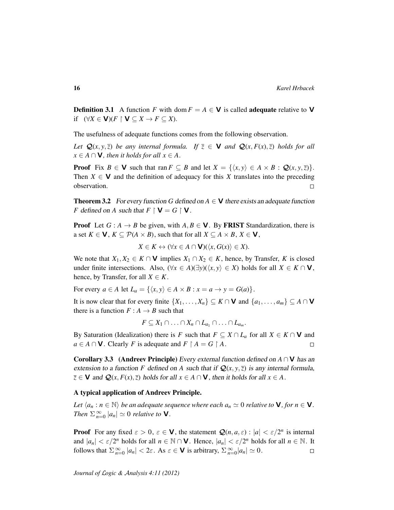**Definition 3.1** A function *F* with dom  $F = A \in V$  is called **adequate** relative to V if  $(\forall X \in \mathbf{V})(F \upharpoonright \mathbf{V} \subseteq X \rightarrow F \subseteq X)$ .

The usefulness of adequate functions comes from the following observation.

*Let*  $\mathbf{Q}(x, y, \bar{z})$  *be any internal formula. If*  $\bar{z} \in \mathbf{V}$  *and*  $\mathbf{Q}(x, F(x), \bar{z})$  *holds for all*  $x \in A \cap V$ *, then it holds for all*  $x \in A$ *.* 

**Proof** Fix  $B \in V$  such that ran  $F \subseteq B$  and let  $X = \{(x, y) \in A \times B : Q(x, y, \overline{z})\}.$ Then  $X \in V$  and the definition of adequacy for this X translates into the preceding observation.  $\Box$ 

**Theorem 3.2** For every function G defined on  $A \in V$  there exists an adequate function *F* defined on *A* such that  $F \upharpoonright \mathbf{V} = G \upharpoonright \mathbf{V}$ .

**Proof** Let  $G : A \rightarrow B$  be given, with  $A, B \in V$ . By FRIST Standardization, there is a set  $K \in \mathbf{V}$ ,  $K \subseteq \mathcal{P}(A \times B)$ , such that for all  $X \subseteq A \times B$ ,  $X \in \mathbf{V}$ ,

$$
X \in K \leftrightarrow (\forall x \in A \cap \mathbf{V})(\langle x, G(x) \rangle \in X).
$$

We note that  $X_1, X_2 \in K \cap V$  implies  $X_1 \cap X_2 \in K$ , hence, by Transfer, *K* is closed under finite intersections. Also,  $(\forall x \in A)(\exists y)(\langle x, y \rangle \in X)$  holds for all *X* ∈ *K* ∩ **V**, hence, by Transfer, for all  $X \in K$ .

For every  $a \in A$  let  $L_a = \{ \langle x, y \rangle \in A \times B : x = a \rightarrow y = G(a) \}.$ 

It is now clear that for every finite  $\{X_1, \ldots, X_n\} \subseteq K \cap V$  and  $\{a_1, \ldots, a_m\} \subseteq A \cap V$ there is a function  $F : A \rightarrow B$  such that

 $F \subseteq X_1 \cap \ldots \cap X_n \cap L_{a_1} \cap \ldots \cap L_{a_m}$ .

By Saturation (Idealization) there is *F* such that  $F \subseteq X \cap L_a$  for all  $X \in K \cap V$  and *a* ∈ *A* ∩ **V**. Clearly *F* is adequate and *F*  $\upharpoonright$  *A* = *G*  $\upharpoonright$  *A*.  $\Box$ 

Corollary 3.3 (Andreev Principle) Every external function defined on *A* ∩ V has an extension to a function *F* defined on *A* such that if  $Q(x, y, \overline{z})$  is any internal formula,  $\overline{z} \in V$  and  $Q(x, F(x), \overline{z})$  holds for all  $x \in A \cap V$ , then it holds for all  $x \in A$ .

#### A typical application of Andreev Principle.

*Let*  $\langle a_n : n \in \mathbb{N} \rangle$  *be an adequate sequence where each*  $a_n \simeq 0$  *relative to* **V***, for*  $n \in \mathbf{V}$ *. Then*  $\sum_{n=0}^{\infty} |a_n| \simeq 0$  *relative to* **V**.

**Proof** For any fixed  $\varepsilon > 0$ ,  $\varepsilon \in \mathbf{V}$ , the statement  $\mathcal{Q}(n, a, \varepsilon)$ :  $|a| < \varepsilon/2^n$  is internal and  $|a_n| < \varepsilon/2^n$  holds for all  $n \in \mathbb{N} \cap \mathbf{V}$ . Hence,  $|a_n| < \varepsilon/2^n$  holds for all  $n \in \mathbb{N}$ . It follows that  $\sum_{n=0}^{\infty} |a_n| < 2\varepsilon$ . As  $\varepsilon \in \mathbf{V}$  is arbitrary,  $\sum_{n=0}^{\infty} |a_n| \simeq 0$ .  $\Box$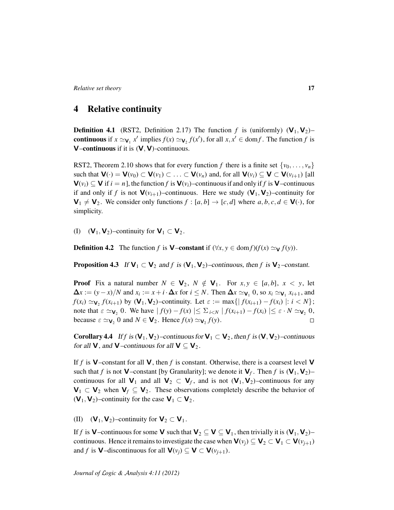# <span id="page-16-0"></span>4 Relative continuity

**Definition 4.1** (RST2, Definition 2.17) The function f is (uniformly)  $(V_1, V_2)$ – continuous if  $x \simeq_{V_1} x'$  implies  $f(x) \simeq_{V_2} f(x')$ , for all  $x, x' \in \text{dom} f$ . The function *f* is **V–continuous** if it is  $(V, V)$ -continuous.

RST2, Theorem 2.10 shows that for every function *f* there is a finite set  $\{v_0, \ldots, v_n\}$ such that  $\mathbf{V}(\cdot) = \mathbf{V}(v_0) \subset \mathbf{V}(v_1) \subset \ldots \subset \mathbf{V}(v_n)$  and, for all  $\mathbf{V}(v_i) \subseteq \mathbf{V} \subset \mathbf{V}(v_{i+1})$  [all  $V(v_i) \subseteq V$  if  $i = n$ , the function f is  $V(v_i)$ –continuous if and only if f is V–continuous if and only if *f* is not  $V(v_{i+1})$ –continuous. Here we study  $(V_1, V_2)$ –continuity for  $\mathbf{V}_1 \neq \mathbf{V}_2$ . We consider only functions  $f : [a, b] \rightarrow [c, d]$  where  $a, b, c, d \in \mathbf{V}(\cdot)$ , for simplicity.

(I)  $(V_1, V_2)$ –continuity for  $V_1 \subset V_2$ .

**Definition 4.2** The function *f* is **V**–constant if  $(\forall x, y \in \text{dom } f)(f(x) \simeq_\mathbf{V} f(y)).$ 

**Proposition 4.3** If  $V_1 \subset V_2$  and f is  $(V_1, V_2)$ –continuous, then f is  $V_2$ –constant.

**Proof** Fix a natural number  $N \in V_2$ ,  $N \notin V_1$ . For  $x, y \in [a, b]$ ,  $x < y$ , let  $\Delta x$  := (*y*−*x*)/*N* and *x*<sub>*i*</sub> := *x* + *i*  $\cdot$   $\Delta x$  for *i* ≤ *N*. Then  $\Delta x \simeq$   $\mathbf{v}_1$  0, so *x<sub>i</sub>*  $\simeq$   $\mathbf{v}_1$  *x<sub>i+1</sub>*, and *f*( $x_i$ )  $\simeq$   $\mathbf{v}_2$  *f*( $x_{i+1}$ ) by ( $\mathbf{V}_1$ ,  $\mathbf{V}_2$ )–continuity. Let  $\varepsilon := \max\{|f(x_{i+1}) - f(x_i)| : i < N\}$ ; note that  $\varepsilon \simeq \mathbf{v}_2$  0. We have  $| f(y) - f(x) | \leq \sum_{i \leq N} | f(x_{i+1}) - f(x_i) | \leq \varepsilon \cdot N \simeq \mathbf{v}_2$  0, because  $\varepsilon \simeq_{\mathbf{V}_2} 0$  and  $N \in \mathbf{V}_2$ . Hence  $f(x) \simeq_{\mathbf{V}_2} f(y)$ .  $\Box$ 

Corollary 4.4 If *f* is  $(V_1, V_2)$ –continuous for  $V_1 \subset V_2$ , then *f* is  $(V, V_2)$ –continuous for all **V**, and **V**–continuous for all **V**  $\subseteq$  **V**<sub>2</sub>.

If  $f$  is  $V$ -constant for all  $V$ , then  $f$  is constant. Otherwise, there is a coarsest level  $V$ such that *f* is not **V**-constant [by Granularity]; we denote it  $V_f$ . Then *f* is  $(V_1, V_2)$ continuous for all  $V_1$  and all  $V_2 \subset V_f$ , and is not  $(V_1, V_2)$ –continuous for any  $V_1 \subset V_2$  when  $V_f \subseteq V_2$ . These observations completely describe the behavior of  $(V_1, V_2)$ –continuity for the case  $V_1 \subset V_2$ .

(II)  $(V_1, V_2)$ –continuity for  $V_2 \subset V_1$ .

If *f* is **V**–continuous for some **V** such that  $V_2 \subseteq V \subseteq V_1$ , then trivially it is  $(V_1, V_2)$ – continuous. Hence it remains to investigate the case when  $\mathbf{V}(v_i) \subseteq \mathbf{V}_2 \subset \mathbf{V}_1 \subset \mathbf{V}(v_{i+1})$ and *f* is **V**–discontinuous for all  $\mathbf{V}(v_i) \subseteq \mathbf{V} \subset \mathbf{V}(v_{i+1})$ .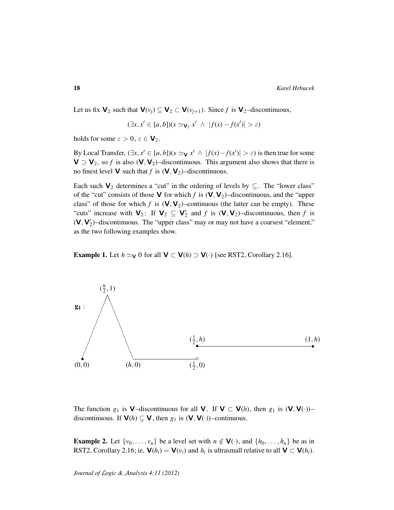Let us fix  $V_2$  such that  $V(v_j) \subseteq V_2 \subset V(v_{j+1})$ . Since f is  $V_2$ -discontinuous,

$$
(\exists x, x' \in [a, b])(x \simeq_{\mathbf{V}_2} x' \ \land \ |f(x) - f(x')| > \varepsilon)
$$

holds for some  $\varepsilon > 0$ ,  $\varepsilon \in V_2$ .

By Local Transfer,  $(\exists x, x' \in [a, b])(x \simeq_{\mathbf{V}} x' \land |f(x) - f(x')| > \varepsilon)$  is then true for some  $V \supset V_2$ , so *f* is also  $(V, V_2)$ –discontinuous. This argument also shows that there is no finest level **V** such that *f* is  $(V, V_2)$ –discontinuous.

Each such  $V_2$  determines a "cut" in the ordering of levels by  $\subseteq$ . The "lower class" of the "cut" consists of those **V** for which *f* is  $(V, V_2)$ -discontinuous, and the "upper class" of those for which  $f$  is  $(V, V_2)$ –continuous (the latter can be empty). These "cuts" increase with  $V_2$ : If  $V_2 \subseteq V'_2$  and *f* is  $(V, V_2)$ -discontinuous, then *f* is  $(V, V'_2)$ -discontinuous. The "upper class" may or may not have a coarsest "element," as the two following examples show.

**Example 1.** Let  $h \simeq \mathbf{v}$  0 for all  $\mathbf{V} \subset \mathbf{V}(h) \supset \mathbf{V}(\cdot)$  [see RST2, Corollary 2.16].



The function *g*<sub>1</sub> is **V**–discontinuous for all **V**. If **V**  $\subset$  **V**(*h*), then *g*<sub>1</sub> is (**V**, **V**(·))– discontinuous. If  $V(h) \subseteq V$ , then  $g_1$  is  $(V, V(\cdot))$ –continuous.

**Example 2.** Let  $\{v_0, \ldots, v_n\}$  be a level set with  $n \notin V(\cdot)$ , and  $\{h_0, \ldots, h_n\}$  be as in RST2, Corollary 2.16; ie,  $\mathbf{V}(h_i) = \mathbf{V}(v_i)$  and  $h_i$  is ultrasmall relative to all  $\mathbf{V} \subset \mathbf{V}(h_i)$ .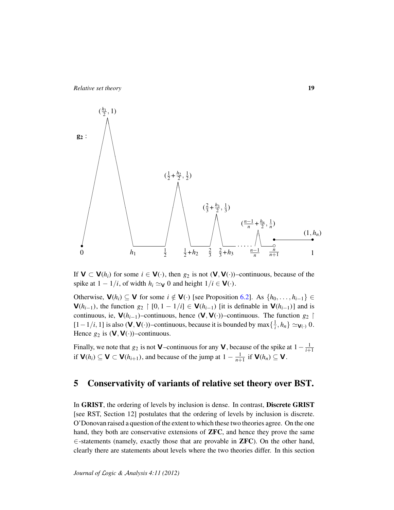$$
\begin{pmatrix}\n(\frac{h_1}{2}, 1) \\
\frac{h_2}{2}, \frac{h_3}{2}\n\end{pmatrix}
$$
\n
$$
\begin{pmatrix}\n(\frac{1}{2} + \frac{h_2}{2}, \frac{1}{2}) \\
\frac{h_3}{2}, \frac{1}{2}\n\end{pmatrix}
$$
\n
$$
\begin{pmatrix}\n(\frac{2}{3} + \frac{h_3}{2}, \frac{1}{3}) \\
\frac{h_1}{2} & \frac{1}{2} + h_2 & \frac{2}{3} & \frac{2}{3} + h_3 & \frac{h_1}{n} - \frac{h_2}{n} & \frac{h_3}{n} \\
\frac{h_2}{2} & \frac{1}{2} + h_2 & \frac{2}{3} & \frac{2}{3} + h_3 & \frac{h_1}{n} - \frac{h_2}{n} & \frac{h_3}{n} \\
\frac{h_2}{2} & \frac{h_2}{2} & \frac{1}{2} + h_2 & \frac{2}{3} & \frac{2}{3} + h_3 & \frac{h_2}{n} - \frac{h_3}{n} & \frac{h_4}{n} \\
\frac{h_3}{2} & \frac{h_4}{2} & \frac{h_5}{2} & \frac{h_5}{2} & \frac{h_6}{2} & \frac{h_7}{2} & \frac{h_8}{2} \\
\frac{h_8}{2} & \frac{h_9}{2} & \frac{h_9}{2} & \frac{h_9}{2} & \frac{h_1}{2} & \frac{h_2}{2} & \frac{h_3}{2} & \frac{h_4}{2} & \frac{h_5}{2} & \frac{h_6}{2} \\
\frac{h_1}{2} & \frac{h_2}{2} & \frac{h_3}{2} & \frac{h_2}{2} & \frac{h_3}{2} & \frac{h_4}{2} & \frac{h_5}{2} & \frac{h_6}{2} & \frac{h_7}{2} & \frac{h_8}{2} & \frac{h_9}{2} & \frac{h_9}{2} & \frac{h_9}{2} & \frac{h_1}{2} & \frac{h_1}{2} & \frac{h_2}{2} & \frac{h_3}{2} & \frac{h_1}{2} & \frac{h_2}{2} & \frac{h_3}{2} & \frac{h_3}{2} & \frac{h_3
$$

If  $V \subset V(h_i)$  for some  $i \in V(\cdot)$ , then  $g_2$  is not  $(V, V(\cdot))$ –continuous, because of the spike at  $1 - 1/i$ , of width  $h_i \simeq \mathbf{v}$  0 and height  $1/i \in \mathbf{V}(\cdot)$ .

Otherwise,  $\mathbf{V}(h_i) \subseteq \mathbf{V}$  for some  $i \notin \mathbf{V}(\cdot)$  [see Proposition [6.2\]](#page-21-1). As  $\{h_0, \ldots, h_{i-1}\} \in$ **, the function**  $g_2$  **| [0, 1 − 1/***i***] ∈**  $**V**(h<sub>i-1</sub>)$  **[it is definable in**  $**V**(h<sub>i-1</sub>)$ **] and is** continuous, ie,  $V(h_{i-1})$ –continuous, hence  $(V, V(·))$ –continuous. The function *g*<sub>2</sub> ↑</sub> [1 − 1/*i*, 1] is also (**V**, **V**(·))–continuous, because it is bounded by max $\{\frac{1}{i}, h_n\} \simeq$ **v**<sub>(·)</sub> 0. Hence  $g_2$  is  $(\mathsf{V}, \mathsf{V}(\cdot))$ –continuous.

Finally, we note that  $g_2$  is not **V**—continuous for any **V**, because of the spike at  $1 - \frac{1}{i+1}$ if **, and because of the jump at**  $1 - \frac{1}{n+1}$  **if**  $**V**(h<sub>n</sub>) ⊆ **V**$ **.** 

# <span id="page-18-0"></span>5 Conservativity of variants of relative set theory over BST.

In GRIST, the ordering of levels by inclusion is dense. In contrast, Discrete GRIST [see RST, Section 12] postulates that the ordering of levels by inclusion is discrete. O'Donovan raised a question of the extent to which these two theories agree. On the one hand, they both are conservative extensions of **ZFC**, and hence they prove the same  $\in$ -statements (namely, exactly those that are provable in **ZFC**). On the other hand, clearly there are statements about levels where the two theories differ. In this section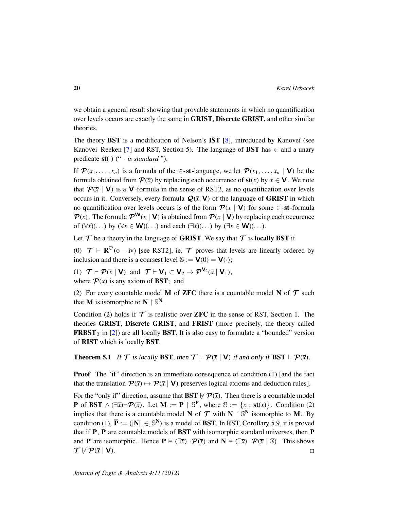we obtain a general result showing that provable statements in which no quantification over levels occurs are exactly the same in GRIST, Discrete GRIST, and other similar theories.

The theory BST is a modification of Nelson's IST [\[8\]](#page-23-8), introduced by Kanovei (see Kanovei–Reeken [\[7\]](#page-23-9) and RST, Section 5). The language of **BST** has  $\in$  and a unary predicate st(·) (" · *is standard* ").

If  $\mathcal{P}(x_1, \ldots, x_n)$  is a formula of the  $\in$ -st-language, we let  $\mathcal{P}(x_1, \ldots, x_n \mid V)$  be the formula obtained from  $\mathcal{P}(\bar{x})$  by replacing each occurrence of  $\text{st}(x)$  by  $x \in \mathbf{V}$ . We note that  $\mathcal{P}(\bar{x} \mid \mathbf{V})$  is a **V**-formula in the sense of RST2, as no quantification over levels occurs in it. Conversely, every formula  $\mathcal{Q}(\bar{x}, \mathbf{V})$  of the language of **GRIST** in which no quantification over levels occurs is of the form  $\mathcal{P}(\bar{x} \mid V)$  for some  $\in$ -st-formula  $\mathcal{P}(\bar{x})$ . The formula  $\mathcal{P}^{\mathsf{W}}(\bar{x} | \mathbf{V})$  is obtained from  $\mathcal{P}(\bar{x} | \mathbf{V})$  by replacing each occurence of  $(\forall x)(\dots)$  by  $(\forall x \in \mathbf{W})(\dots)$  and each  $(\exists x)(\dots)$  by  $(\exists x \in \mathbf{W})(\dots)$ .

Let  $\mathcal T$  be a theory in the language of GRIST. We say that  $\mathcal T$  is locally BST if

(0)  $\mathcal{T} \vdash \mathbf{R}^{\heartsuit}$  (o – iv) [see RST2], ie,  $\mathcal{T}$  proves that levels are linearly ordered by inclusion and there is a coarsest level  $\mathbb{S} := \mathbf{V}(0) = \mathbf{V}(\cdot);$ 

(1)  $\mathcal{T} \vdash \mathcal{P}(\bar{x} \mid \mathbf{V})$  and  $\mathcal{T} \vdash \mathbf{V}_1 \subset \mathbf{V}_2 \rightarrow \mathcal{P}^{\mathbf{V}_2}(\bar{x} \mid \mathbf{V}_1)$ , where  $\mathcal{P}(\bar{x})$  is any axiom of **BST**; and

(2) For every countable model M of **ZFC** there is a countable model N of  $T$  such that **M** is isomorphic to  $N \upharpoonright \mathbb{S}^N$ .

Condition (2) holds if  $\mathcal T$  is realistic over **ZFC** in the sense of RST, Section 1. The theories GRIST, Discrete GRIST, and FRIST (more precisely, the theory called **FRBST**<sub>2</sub> in [\[2\]](#page-23-5)) are all locally **BST**. It is also easy to formulate a "bounded" version of RIST which is locally BST.

<span id="page-19-0"></span>**Theorem 5.1** If  $\mathcal{T}$  is locally BST, then  $\mathcal{T} \vdash \mathcal{P}(\overline{x} \mid V)$  if and only if BST  $\vdash \mathcal{P}(\overline{x})$ .

**Proof** The "if" direction is an immediate consequence of condition (1) [and the fact that the translation  $\mathcal{P}(\bar{x}) \mapsto \mathcal{P}(\bar{x} | \mathbf{V})$  preserves logical axioms and deduction rules].

For the "only if" direction, assume that **BST**  $\nvdash \mathcal{P}(\bar{x})$ . Then there is a countable model **P** of **BST**  $\land$  ( $\exists \overline{x}$ ) $\neg$  $\mathcal{P}(\overline{x})$ . Let **M** := **P** |  $\mathbb{S}^{\mathbf{P}}$ , where  $\mathbb{S} := \{x : \text{st}(x)\}\.$  Condition (2) implies that there is a countable model N of  $T$  with N  $\restriction S^N$  isomorphic to M. By condition (1),  $\overline{P} := (|N|, \in, \mathbb{S}^N)$  is a model of **BST**. In RST, Corollary 5.9, it is proved that if  $P$ ,  $\overline{P}$  are countable models of BST with isomorphic standard universes, then P and  $\overline{P}$  are isomorphic. Hence  $\overline{P} \models (\exists \overline{x}) \neg P(\overline{x})$  and  $N \models (\exists \overline{x}) \neg P(\overline{x} \mid \mathbb{S})$ . This shows  $\mathcal{T} \not\vdash \mathcal{P}(\bar{x} \mid V).$  $\Box$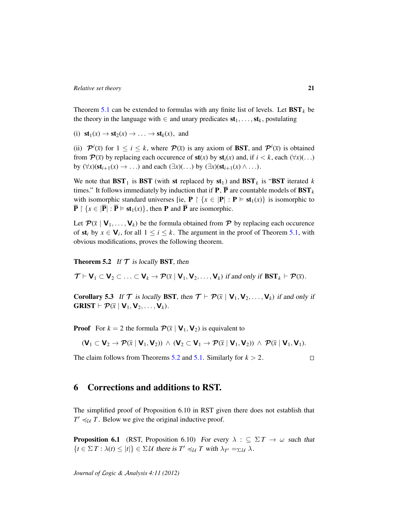Theorem [5.1](#page-19-0) can be extended to formulas with any finite list of levels. Let  $\mathbf{BST}_k$  be the theory in the language with  $\in$  and unary predicates  $st_1, \ldots, st_k$ , postulating

(i)  $\mathbf{st}_1(x) \to \mathbf{st}_2(x) \to \ldots \to \mathbf{st}_k(x)$ , and

(ii)  $\mathcal{P}^i(\bar{x})$  for  $1 \leq i \leq k$ , where  $\mathcal{P}(\bar{x})$  is any axiom of **BST**, and  $\mathcal{P}^i(\bar{x})$  is obtained from  $\mathcal{P}(\bar{x})$  by replacing each occurence of  $\mathbf{st}(x)$  by  $\mathbf{st}_i(x)$  and, if  $i < k$ , each  $(\forall x)(\dots)$ by  $(\forall x)(\mathbf{st}_{i+1}(x) \rightarrow \ldots)$  and each  $(\exists x)(\ldots)$  by  $(\exists x)(\mathbf{st}_{i+1}(x) \wedge \ldots)$ .

We note that  $\text{BST}_1$  is  $\text{BST}$  (with st replaced by  $\text{st}_1$ ) and  $\text{BST}_k$  is " $\text{BST}$  iterated *k* times." It follows immediately by induction that if **P**,  $\overline{P}$  are countable models of **BST**<sub>k</sub> with isomorphic standard universes [ie,  $P \restriction \{x \in |P| : P \models st_1(x)\}\)$  is isomorphic to  $\overline{\mathbf{P}} \restriction \{x \in |\overline{\mathbf{P}}| : \overline{\mathbf{P}} \models \mathbf{st}_1(x)\}\$ , then **P** and  $\overline{\mathbf{P}}$  are isomorphic.

Let  $\mathcal{P}(\bar{x} | V_1, \ldots, V_k)$  be the formula obtained from  $\mathcal{P}$  by replacing each occurence of  $st_i$  by  $x \in V_i$ , for all  $1 \le i \le k$ . The argument in the proof of Theorem [5.1,](#page-19-0) with obvious modifications, proves the following theorem.

<span id="page-20-1"></span>**Theorem 5.2** If  $T$  is locally BST, then

 $\mathcal{T} \vdash \mathsf{V}_1 \subset \mathsf{V}_2 \subset \ldots \subset \mathsf{V}_k \rightarrow \mathcal{P}(\bar{x} \mid \mathsf{V}_1, \mathsf{V}_2, \ldots, \mathsf{V}_k)$  if and only if  $\text{BST}_k \vdash \mathcal{P}(\bar{x})$ .

**Corollary 5.3** If T is locally BST, then  $T \vdash P(\bar{x} \mid V_1, V_2, \ldots, V_k)$  if and only if  $GRIST \vdash \mathcal{P}(\overline{x} \mid \mathbf{V}_1, \mathbf{V}_2, \ldots, \mathbf{V}_k).$ 

**Proof** For  $k = 2$  the formula  $\mathcal{P}(\bar{x} | \mathbf{V}_1, \mathbf{V}_2)$  is equivalent to

$$
(\mathbf{V}_1 \subset \mathbf{V}_2 \to \mathcal{P}(\bar{x} \mid \mathbf{V}_1, \mathbf{V}_2)) \ \wedge \ (\mathbf{V}_2 \subset \mathbf{V}_1 \to \mathcal{P}(\bar{x} \mid \mathbf{V}_1, \mathbf{V}_2)) \ \wedge \ \mathcal{P}(\bar{x} \mid \mathbf{V}_1, \mathbf{V}_1).
$$

The claim follows from Theorems [5.2](#page-20-1) and [5.1.](#page-19-0) Similarly for  $k > 2$ .

 $\Box$ 

# <span id="page-20-0"></span>6 Corrections and additions to RST.

The simplified proof of Proposition 6.10 in RST given there does not establish that  $T' \preccurlyeq_{\mathcal{U}} T$ . Below we give the original inductive proof.

**Proposition 6.1** (RST, Proposition 6.10) For every  $\lambda : \mathbb{C} \Sigma T \to \omega$  such that  $\{t \in \Sigma T : \lambda(t) \leq |t|\} \in \Sigma \mathcal{U}$  there is  $T' \preccurlyeq_{\mathcal{U}} T$  with  $\lambda_{T'} =_{\Sigma \mathcal{U}} \lambda$ .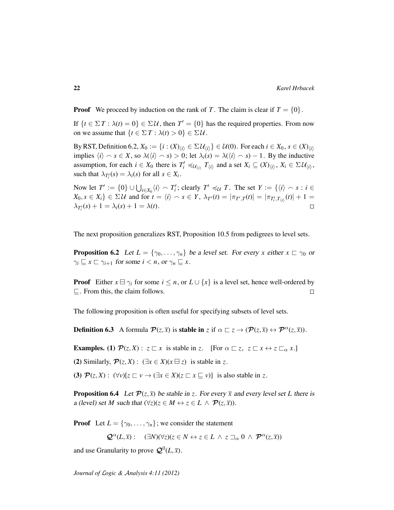**Proof** We proceed by induction on the rank of *T*. The claim is clear if  $T = \{0\}$ .

If  $\{t \in \Sigma T : \lambda(t) = 0\} \in \Sigma \mathcal{U}$ , then  $T' = \{0\}$  has the required properties. From now on we assume that  $\{t \in \Sigma T : \lambda(t) > 0\} \in \Sigma \mathcal{U}$ .

By RST, Definition 6.2,  $X_0 := \{i : (X)_{\langle i \rangle} \in \Sigma \mathcal{U}_{\langle i \rangle}\} \in \mathcal{U}(0)$ . For each  $i \in X_0$ ,  $s \in (X)_{\langle i \rangle}$ implies  $\langle i \rangle \sim s \in X$ , so  $\lambda(\langle i \rangle \sim s) > 0$ ; let  $\lambda_i(s) = \lambda(\langle i \rangle \sim s) - 1$ . By the inductive assumption, for each  $i \in X_0$  there is  $T_i' \preccurlyeq_{\mathcal{U}_{(i)}} T_{\langle i \rangle}$  and a set  $X_i \subseteq (X)_{\langle i \rangle}$ ,  $X_i \in \Sigma \mathcal{U}_{\langle i \rangle}$ , such that  $\lambda_{T_i'}(s) = \lambda_i(s)$  for all  $s \in X_i$ .

Now let  $T' := \{0\} \cup \bigcup_{i \in X_0} \langle i \rangle \cap T'_i$ ; clearly  $T' \preccurlyeq_{\mathcal{U}} T$ . The set  $Y := \{\langle i \rangle \cap s : i \in$  $X_0, s \in X_i$   $\} \in \Sigma \mathcal{U}$  and for  $t = \langle i \rangle \cap s \in Y$ ,  $\lambda_{T'}(t) = |\pi_{T',T}(t)| = |\pi_{T'_i,T_{\langle i \rangle}}(t)| + 1 = 1$  $\lambda_{T_i'}(s) + 1 = \lambda_i(s) + 1 = \lambda(t).$  $\Box$ 

The next proposition generalizes RST, Proposition 10.5 from pedigrees to level sets.

<span id="page-21-1"></span>**Proposition 6.2** Let  $L = \{\gamma_0, \ldots, \gamma_n\}$  be a level set. For every *x* either  $x \sqsubset \gamma_0$  or  $\gamma_i \sqsubseteq x \sqsubset \gamma_{i+1}$  for some  $i < n$ , or  $\gamma_n \sqsubseteq x$ .

**Proof** Either  $x \boxminus \gamma_i$  for some  $i \leq n$ , or  $L \cup \{x\}$  is a level set, hence well-ordered by  $\sqsubseteq$ . From this, the claim follows.  $\Box$ 

The following proposition is often useful for specifying subsets of level sets.

**Definition 6.3** A formula  $\mathcal{P}(z,\overline{x})$  is **stable in**  $z$  if  $\alpha \sqsubset z \rightarrow (\mathcal{P}(z,\overline{x}) \leftrightarrow \mathcal{P}^{\alpha}(z,\overline{x}))$ .

**Examples.** (1)  $\mathcal{P}(z, X) : z \sqsubset x$  is stable in *z*. [For  $\alpha \sqsubset z$ ,  $z \sqsubset x \leftrightarrow z \sqsubset_{\alpha} x$ .]

(2) Similarly,  $\mathcal{P}(z, X)$ :  $(\exists x \in X)(x \boxminus z)$  is stable in z.

(3)  $\mathcal{P}(z, X) : (\forall v)[z \sqsubset v \rightarrow (\exists x \in X)(z \sqsubset x \sqsubseteq v)]$  is also stable in z.

<span id="page-21-0"></span>**Proposition 6.4** Let  $\mathcal{P}(z,\bar{x})$  be stable in *z*. For every  $\bar{x}$  and every level set *L* there is a (level) set *M* such that  $(\forall z)(z \in M \leftrightarrow z \in L \land \mathcal{P}(z, \overline{x}))$ .

**Proof** Let  $L = \{\gamma_0, \ldots, \gamma_n\}$ ; we consider the statement

 $\mathcal{Q}^{\alpha}(L,\overline{x})$ : ( $\exists N$ )( $\forall z$ )( $z \in N \leftrightarrow z \in L \land z \sqsupseteq_{\alpha} 0 \land \mathcal{P}^{\alpha}(z,\overline{x})$ )

and use Granularity to prove  $\mathcal{Q}^0(L,\overline{x})$ .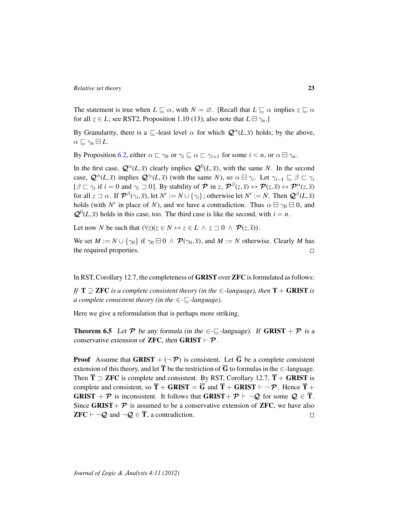The statement is true when  $L \sqsubseteq \alpha$ , with  $N = \emptyset$ . [Recall that  $L \sqsubseteq \alpha$  implies  $z \sqsubseteq \alpha$ for all  $z \in L$ ; see RST2, Proposition 1.10 (13); also note that  $L \boxminus \gamma_n$ .

By Granularity, there is a  $\subseteq$ -least level  $\alpha$  for which  $\mathcal{Q}^{\alpha}(L,\overline{x})$  holds; by the above,  $\alpha \sqsubseteq \gamma_n \boxminus L$ .

By Proposition [6.2,](#page-21-1) either  $\alpha \sqsubset \gamma_0$  or  $\gamma_i \sqsubseteq \alpha \sqsubset \gamma_{i+1}$  for some  $i < n$ , or  $\alpha \sqcup \gamma_n$ .

In the first case,  $\mathcal{Q}^{\alpha}(L,\bar{x})$  clearly implies  $\mathcal{Q}^{0}(L,\bar{x})$ , with the same *N*. In the second case,  $\mathcal{Q}^{\alpha}(L,\overline{x})$  implies  $\mathcal{Q}^{\gamma_i}(L,\overline{x})$  (with the same *N*), so  $\alpha \boxminus \gamma_i$ . Let  $\gamma_{i-1} \sqsubseteq \beta \sqsubset \gamma_i$  $[\beta \sqsubset \gamma_i \text{ if } i = 0 \text{ and } \gamma_i \sqsupset 0]$ . By stability of  $\mathcal{P}$  in  $z$ ,  $\mathcal{P}^{\beta}(z, \bar{x}) \leftrightarrow \mathcal{P}(z, \bar{x}) \leftrightarrow \mathcal{P}^{\alpha}(z, \bar{x})$ for all  $z \sqsupset \alpha$ . If  $\mathcal{P}^{\beta}(\gamma_i, \overline{x})$ , let  $N' := N \cup \{\gamma_i\}$ ; otherwise let  $N' := N$ . Then  $\mathcal{Q}^{\beta}(L, \overline{x})$ holds (with N' in place of N), and we have a contradiction. Thus  $\alpha \boxminus \gamma_0 \boxminus 0$ , and  $\mathcal{Q}^0(L,\bar{x})$  holds in this case, too. The third case is like the second, with  $i = n$ .

Let now *N* be such that  $(\forall z)(z \in N \leftrightarrow z \in L \land z \sqsupseteq 0 \land \mathcal{P}(z, \overline{x}))$ .

We set  $M := N \cup \{\gamma_0\}$  if  $\gamma_0 \boxminus 0 \wedge \mathcal{P}(\gamma_0, \overline{x})$ , and  $M := N$  otherwise. Clearly M has the required properties.  $\Box$ 

In RST, Corollary 12.7, the completeness of GRIST over ZFC is formulated as follows:

*If*  $T \supseteq ZFC$  *is a complete consistent theory (in the*  $\in$ *-language), then*  $T + GRIST$  *is a complete consistent theory (in the*  $\in$ - $\sqsubseteq$ -language).

Here we give a reformulation that is perhaps more striking.

<span id="page-22-0"></span>**Theorem 6.5** Let P be any formula (in the  $\in$ - $\Box$ -language). If **GRIST** + P is a conservative extension of **ZFC**, then **GRIST**  $\vdash \mathcal{P}$ .

**Proof** Assume that GRIST  $+$  ( $\neg$ *P*) is consistent. Let  $\overline{G}$  be a complete consistent extension of this theory, and let  $\overline{T}$  be the restriction of  $\overline{G}$  to formulas in the  $\in$ -language. Then  $\overline{T} \supset ZFC$  is complete and consistent. By RST, Corollary 12.7,  $\overline{T}$  + GRIST is complete and consistent, so  $\overline{T}$  + GRIST =  $\overline{G}$  and  $\overline{T}$  + GRIST  $\vdash \neg \mathcal{P}$ . Hence  $\overline{T}$  + **GRIST** + P is inconsistent. It follows that **GRIST** + P  $\vdash \neg Q$  for some  $Q \in \overline{T}$ . Since GRIST +  $\mathcal P$  is assumed to be a conservative extension of **ZFC**, we have also **ZFC**  $\vdash \neg \mathcal{Q}$  and  $\neg \mathcal{Q} \in \overline{T}$ , a contradiction.  $\Box$